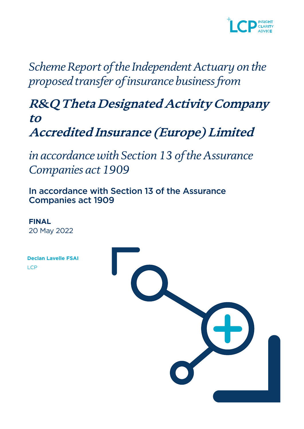

*Scheme Report of the Independent Actuary on the proposed transfer of insurance business from*

**R&Q Theta Designated Activity Company to Accredited Insurance (Europe) Limited**

*in accordance with Section 13 of the Assurance Companies act 1909*

In accordance with Section 13 of the Assurance Companies act 1909

**FINAL** 20 May 2022

| <b>Declan Lavelle FSAI</b> |  |
|----------------------------|--|
| LCP                        |  |
|                            |  |
|                            |  |
|                            |  |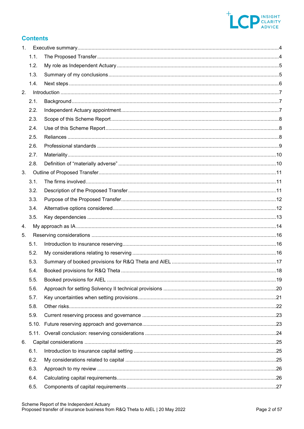

# **Contents**

| 1. |       |  |
|----|-------|--|
|    | 1.1.  |  |
|    | 1.2.  |  |
|    | 1.3.  |  |
|    | 1.4.  |  |
| 2. |       |  |
|    | 2.1.  |  |
|    | 2.2.  |  |
|    | 2.3.  |  |
|    | 2.4.  |  |
|    | 2.5.  |  |
|    | 2.6.  |  |
|    | 2.7.  |  |
|    | 2.8.  |  |
| 3. |       |  |
|    | 3.1.  |  |
|    | 3.2.  |  |
|    | 3.3.  |  |
|    | 3.4.  |  |
|    | 3.5.  |  |
| 4. |       |  |
| 5. |       |  |
|    | 5.1.  |  |
|    | 5.2.  |  |
|    | 5.3.  |  |
|    | 5.4.  |  |
|    | 5.5.  |  |
|    | 5.6.  |  |
|    | 5.7.  |  |
|    | 5.8.  |  |
|    | 5.9.  |  |
|    |       |  |
|    | 5.11. |  |
| 6. |       |  |
|    | 6.1.  |  |
|    | 6.2.  |  |
|    | 6.3.  |  |
|    | 6.4.  |  |
|    | 6.5.  |  |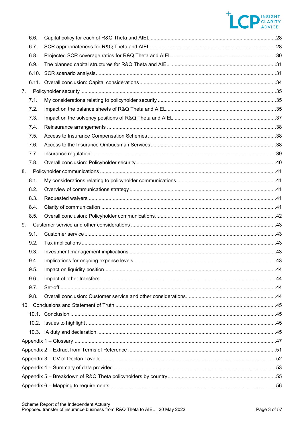# THE PINSIGHT

|    | 6.6. |  |
|----|------|--|
|    | 6.7. |  |
|    | 6.8. |  |
|    | 6.9. |  |
|    |      |  |
|    |      |  |
| 7. |      |  |
|    | 7.1. |  |
|    | 7.2. |  |
|    | 7.3. |  |
|    | 7.4. |  |
|    | 7.5. |  |
|    | 7.6. |  |
|    | 7.7. |  |
|    | 7.8. |  |
| 8. |      |  |
|    | 8.1. |  |
|    | 8.2. |  |
|    | 8.3. |  |
|    | 8.4. |  |
|    | 8.5. |  |
| 9. |      |  |
|    | 9.1. |  |
|    | 9.2. |  |
|    | 9.3. |  |
|    | 9.4. |  |
|    | 9.5. |  |
|    | 9.6. |  |
|    | 9.7. |  |
|    | 9.8. |  |
|    |      |  |
|    |      |  |
|    |      |  |
|    |      |  |
|    |      |  |
|    |      |  |
|    |      |  |
|    |      |  |
|    |      |  |
|    |      |  |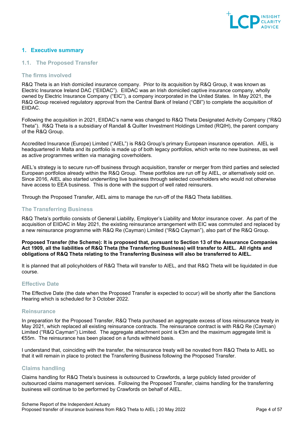

# <span id="page-3-0"></span>**1. Executive summary**

## <span id="page-3-1"></span>**1.1. The Proposed Transfer**

## **The firms involved**

R&Q Theta is an Irish domiciled insurance company. Prior to its acquisition by R&Q Group, it was known as Electric Insurance Ireland DAC ("EIIDAC"). EIIDAC was an Irish domiciled captive insurance company, wholly owned by Electric Insurance Company ("EIC"), a company incorporated in the United States. In May 2021, the R&Q Group received regulatory approval from the Central Bank of Ireland ("CBI") to complete the acquisition of EIIDAC.

Following the acquisition in 2021, EIIDAC's name was changed to R&Q Theta Designated Activity Company ("R&Q Theta"). R&Q Theta is a subsidiary of Randall & Quilter Investment Holdings Limited (RQIH), the parent company of the R&Q Group.

Accredited Insurance (Europe) Limited ("AIEL") is R&Q Group's primary European insurance operation. AIEL is headquartered in Malta and its portfolio is made up of both legacy portfolios, which write no new business, as well as active programmes written via managing coverholders.

AIEL's strategy is to secure run-off business through acquisition, transfer or merger from third parties and selected European portfolios already within the R&Q Group. These portfolios are run off by AIEL, or alternatively sold on. Since 2016, AIEL also started underwriting live business through selected coverholders who would not otherwise have access to EEA business. This is done with the support of well rated reinsurers.

Through the Proposed Transfer, AIEL aims to manage the run‑off of the R&Q Theta liabilities.

## **The Transferring Business**

R&Q Theta's portfolio consists of General Liability, Employer's Liability and Motor insurance cover. As part of the acquisition of EIIDAC in May 2021, the existing reinsurance arrangement with EIC was commuted and replaced by a new reinsurance programme with R&Q Re (Cayman) Limited ("R&Q Cayman"), also part of the R&Q Group.

**Proposed Transfer (the Scheme): It is proposed that, pursuant to Section 13 of the Assurance Companies Act 1909, all the liabilities of R&Q Theta (the Transferring Business) will transfer to AIEL. All rights and obligations of R&Q Theta relating to the Transferring Business will also be transferred to AIEL.** 

It is planned that all policyholders of R&Q Theta will transfer to AIEL, and that R&Q Theta will be liquidated in due course.

# **Effective Date**

The Effective Date (the date when the Proposed Transfer is expected to occur) will be shortly after the Sanctions Hearing which is scheduled for 3 October 2022.

## **Reinsurance**

In preparation for the Proposed Transfer, R&Q Theta purchased an aggregate excess of loss reinsurance treaty in May 2021, which replaced all existing reinsurance contracts. The reinsurance contract is with R&Q Re (Cayman) Limited ("R&Q Cayman") Limited. The aggregate attachment point is €3m and the maximum aggregate limit is €55m. The reinsurance has been placed on a funds withheld basis.

I understand that, coinciding with the transfer, the reinsurance treaty will be novated from R&Q Theta to AIEL so that it will remain in place to protect the Transferring Business following the Proposed Transfer.

# **Claims handling**

Claims handling for R&Q Theta's business is outsourced to Crawfords, a large publicly listed provider of outsourced claims management services. Following the Proposed Transfer, claims handling for the transferring business will continue to be performed by Crawfords on behalf of AIEL.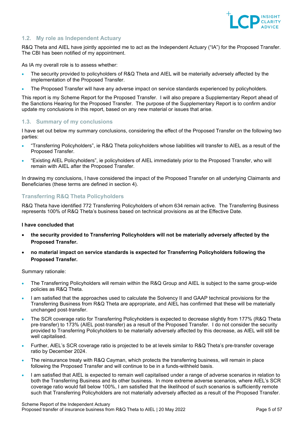

# <span id="page-4-0"></span>**1.2. My role as Independent Actuary**

R&Q Theta and AIEL have jointly appointed me to act as the Independent Actuary ("IA") for the Proposed Transfer. The CBI has been notified of my appointment.

As IA my overall role is to assess whether:

- The security provided to policyholders of R&Q Theta and AIEL will be materially adversely affected by the implementation of the Proposed Transfer.
- The Proposed Transfer will have any adverse impact on service standards experienced by policyholders.

This report is my Scheme Report for the Proposed Transfer. I will also prepare a Supplementary Report ahead of the Sanctions Hearing for the Proposed Transfer. The purpose of the Supplementary Report is to confirm and/or update my conclusions in this report, based on any new material or issues that arise.

# <span id="page-4-1"></span>**1.3. Summary of my conclusions**

I have set out below my summary conclusions, considering the effect of the Proposed Transfer on the following two parties:

- "Transferring Policyholders", ie R&Q Theta policyholders whose liabilities will transfer to AIEL as a result of the Proposed Transfer.
- "Existing AIEL Policyholders", ie policyholders of AIEL immediately prior to the Proposed Transfer, who will remain with AIEL after the Proposed Transfer.

In drawing my conclusions, I have considered the impact of the Proposed Transfer on all underlying Claimants and Beneficiaries (these terms are defined in section [4\)](#page-13-0).

# **Transferring R&Q Theta Policyholders**

R&Q Theta have identified 772 Transferring Policyholders of whom 634 remain active. The Transferring Business represents 100% of R&Q Theta's business based on technical provisions as at the Effective Date.

#### **I have concluded that**

- **the security provided to Transferring Policyholders will not be materially adversely affected by the Proposed Transfer.**
- **no material impact on service standards is expected for Transferring Policyholders following the Proposed Transfer.**

#### Summary rationale:

- The Transferring Policyholders will remain within the R&Q Group and AIEL is subject to the same group-wide policies as R&Q Theta.
- I am satisfied that the approaches used to calculate the Solvency II and GAAP technical provisions for the Transferring Business from R&Q Theta are appropriate, and AIEL has confirmed that these will be materially unchanged post-transfer.
- The SCR coverage ratio for Transferring Policyholders is expected to decrease slightly from 177% (R&Q Theta pre‑transfer) to 173% (AIEL post‑transfer) as a result of the Proposed Transfer. I do not consider the security provided to Transferring Policyholders to be materially adversely affected by this decrease, as AIEL will still be well capitalised.
- Further, AIEL's SCR coverage ratio is projected to be at levels similar to R&Q Theta's pre-transfer coverage ratio by December 2024.
- The reinsurance treaty with R&Q Cayman, which protects the transferring business, will remain in place following the Proposed Transfer and will continue to be in a funds-withheld basis.
- I am satisfied that AIEL is expected to remain well capitalised under a range of adverse scenarios in relation to both the Transferring Business and its other business. In more extreme adverse scenarios, where AIEL's SCR coverage ratio would fall below 100%, I am satisfied that the likelihood of such scenarios is sufficiently remote such that Transferring Policyholders are not materially adversely affected as a result of the Proposed Transfer.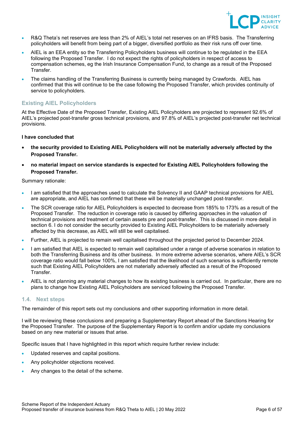

- R&Q Theta's net reserves are less than 2% of AIEL's total net reserves on an IFRS basis. The Transferring policyholders will benefit from being part of a bigger, diversified portfolio as their risk runs off over time.
- AIEL is an EEA entity so the Transferring Policyholders business will continue to be regulated in the EEA following the Proposed Transfer. I do not expect the rights of policyholders in respect of access to compensation schemes, eg the Irish Insurance Compensation Fund, to change as a result of the Proposed Transfer.
- The claims handling of the Transferring Business is currently being managed by Crawfords. AIEL has confirmed that this will continue to be the case following the Proposed Transfer, which provides continuity of service to policyholders.

# **Existing AIEL Policyholders**

At the Effective Date of the Proposed Transfer, Existing AIEL Policyholders are projected to represent 92.6% of AIEL's projected post-transfer gross technical provisions, and 97.8% of AIEL's projected post-transfer net technical provisions.

#### **I have concluded that**

- **the security provided to Existing AIEL Policyholders will not be materially adversely affected by the Proposed Transfer.**
- **no material impact on service standards is expected for Existing AIEL Policyholders following the Proposed Transfer.**

#### Summary rationale:

- I am satisfied that the approaches used to calculate the Solvency II and GAAP technical provisions for AIEL are appropriate, and AIEL has confirmed that these will be materially unchanged post-transfer.
- The SCR coverage ratio for AIEL Policyholders is expected to decrease from 185% to 173% as a result of the Proposed Transfer. The reduction in coverage ratio is caused by differing approaches in the valuation of technical provisions and treatment of certain assets pre and post-transfer. This is discussed in more detail in section 6. I do not consider the security provided to Existing AIEL Policyholders to be materially adversely affected by this decrease, as AIEL will still be well capitalised.
- Further, AIEL is projected to remain well capitalised throughout the projected period to December 2024.
- I am satisfied that AIEL is expected to remain well capitalised under a range of adverse scenarios in relation to both the Transferring Business and its other business. In more extreme adverse scenarios, where AIEL's SCR coverage ratio would fall below 100%, I am satisfied that the likelihood of such scenarios is sufficiently remote such that Existing AIEL Policyholders are not materially adversely affected as a result of the Proposed Transfer.
- AIEL is not planning any material changes to how its existing business is carried out. In particular, there are no plans to change how Existing AIEL Policyholders are serviced following the Proposed Transfer.

# <span id="page-5-0"></span>**1.4. Next steps**

The remainder of this report sets out my conclusions and other supporting information in more detail.

I will be reviewing these conclusions and preparing a Supplementary Report ahead of the Sanctions Hearing for the Proposed Transfer. The purpose of the Supplementary Report is to confirm and/or update my conclusions based on any new material or issues that arise.

Specific issues that I have highlighted in this report which require further review include:

- Updated reserves and capital positions.
- Any policyholder objections received.
- Any changes to the detail of the scheme.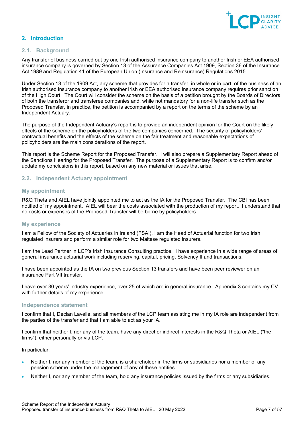

# <span id="page-6-0"></span>**2. Introduction**

# <span id="page-6-1"></span>**2.1. Background**

Any transfer of business carried out by one Irish authorised insurance company to another Irish or EEA authorised insurance company is governed by Section 13 of the Assurance Companies Act 1909, Section 36 of the Insurance Act 1989 and Regulation 41 of the European Union (Insurance and Reinsurance) Regulations 2015.

Under Section 13 of the 1909 Act, any scheme that provides for a transfer, in whole or in part, of the business of an Irish authorised insurance company to another Irish or EEA authorised insurance company requires prior sanction of the High Court. The Court will consider the scheme on the basis of a petition brought by the Boards of Directors of both the transferor and transferee companies and, while not mandatory for a non-life transfer such as the Proposed Transfer, in practice, the petition is accompanied by a report on the terms of the scheme by an Independent Actuary.

The purpose of the Independent Actuary's report is to provide an independent opinion for the Court on the likely effects of the scheme on the policyholders of the two companies concerned. The security of policyholders' contractual benefits and the effects of the scheme on the fair treatment and reasonable expectations of policyholders are the main considerations of the report.

This report is the Scheme Report for the Proposed Transfer. I will also prepare a Supplementary Report ahead of the Sanctions Hearing for the Proposed Transfer. The purpose of a Supplementary Report is to confirm and/or update my conclusions in this report, based on any new material or issues that arise.

## <span id="page-6-2"></span>**2.2. Independent Actuary appointment**

## **My appointment**

R&Q Theta and AIEL have jointly appointed me to act as the IA for the Proposed Transfer. The CBI has been notified of my appointment. AIEL will bear the costs associated with the production of my report. I understand that no costs or expenses of the Proposed Transfer will be borne by policyholders.

#### **My experience**

I am a Fellow of the Society of Actuaries in Ireland (FSAI). I am the Head of Actuarial function for two Irish regulated insurers and perform a similar role for two Maltese regulated insurers.

I am the Lead Partner in LCP's Irish Insurance Consulting practice. I have experience in a wide range of areas of general insurance actuarial work including reserving, capital, pricing, Solvency II and transactions.

I have been appointed as the IA on two previous Section 13 transfers and have been peer reviewer on an insurance Part VII transfer.

I have over 30 years' industry experience, over 25 of which are in general insurance. Appendix 3 contains my CV with further details of my experience.

## **Independence statement**

I confirm that I, Declan Lavelle, and all members of the LCP team assisting me in my IA role are independent from the parties of the transfer and that I am able to act as your IA.

I confirm that neither I, nor any of the team, have any direct or indirect interests in the R&Q Theta or AIEL ("the firms"), either personally or via LCP.

In particular:

- Neither I, nor any member of the team, is a shareholder in the firms or subsidiaries nor a member of any pension scheme under the management of any of these entities.
- Neither I, nor any member of the team, hold any insurance policies issued by the firms or any subsidiaries.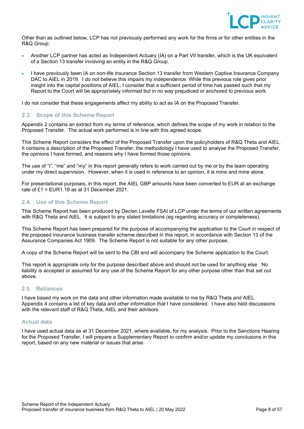

Other than as outlined below, LCP has not previously performed any work for the firms or for other entities in the R&Q Group:

- Another LCP partner has acted as Independent Actuary (IA) on a Part VII transfer, which is the UK equivalent of a Section 13 transfer involving an entity in the R&Q Group.
- I have previously been IA on non-life insurance Section 13 transfer from Western Captive Insurance Company DAC to AIEL in 2019. I do not believe this impairs my independence. While this previous role gives prior insight into the capital positions of AIEL, I consider that a sufficient period of time has passed such that my Report to the Court will be appropriately informed but in no way prejudiced or anchored to previous work.

I do not consider that these engagements affect my ability to act as IA on the Proposed Transfer.

# <span id="page-7-0"></span>**2.3. Scope of this Scheme Report**

Appendix 2 contains an extract from my terms of reference, which defines the scope of my work in relation to the Proposed Transfer. The actual work performed is in line with this agreed scope.

This Scheme Report considers the effect of the Proposed Transfer upon the policyholders of R&Q Theta and AIEL. It contains a description of the Proposed Transfer, the methodology I have used to analyse the Proposed Transfer, the opinions I have formed, and reasons why I have formed those opinions.

The use of "I", "me" and "my" in this report generally refers to work carried out by me or by the team operating under my direct supervision. However, when it is used in reference to an opinion, it is mine and mine alone.

For presentational purposes, in this report, the AIEL GBP amounts have been converted to EUR at an exchange rate of  $£1 = EUR1.19$  as at 31 December 2021.

# <span id="page-7-1"></span>**2.4. Use of this Scheme Report**

This Scheme Report has been produced by Declan Lavelle FSAI of LCP under the terms of our written agreements with R&Q Theta and AIEL. It is subject to any stated limitations (eg regarding accuracy or completeness).

This Scheme Report has been prepared for the purpose of accompanying the application to the Court in respect of the proposed insurance business transfer scheme described in this report, in accordance with Section 13 of the Assurance Companies Act 1909. The Scheme Report is not suitable for any other purpose.

A copy of the Scheme Report will be sent to the CBI and will accompany the Scheme application to the Court.

This report is appropriate only for the purpose described above and should not be used for anything else. No liability is accepted or assumed for any use of the Scheme Report for any other purpose other than that set out above.

# <span id="page-7-2"></span>**2.5. Reliances**

I have based my work on the data and other information made available to me by R&Q Theta and AIEL. Appendix 4 contains a list of key data and other information that I have considered. I have also held discussions with the relevant staff of R&Q Theta, AIEL and their advisors.

# **Actual data**

I have used actual data as at 31 December 2021, where available, for my analysis. Prior to the Sanctions Hearing for the Proposed Transfer, I will prepare a Supplementary Report to confirm and/or update my conclusions in this report, based on any new material or issues that arise.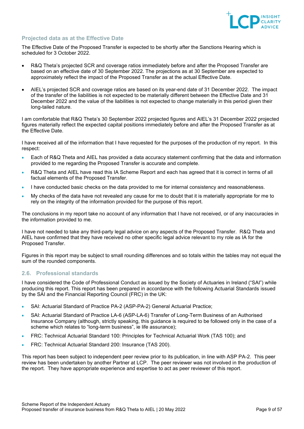

# **Projected data as at the Effective Date**

The Effective Date of the Proposed Transfer is expected to be shortly after the Sanctions Hearing which is scheduled for 3 October 2022.

- R&Q Theta's projected SCR and coverage ratios immediately before and after the Proposed Transfer are based on an effective date of 30 September 2022. The projections as at 30 September are expected to approximately reflect the impact of the Proposed Transfer as at the actual Effective Date.
- AIEL's projected SCR and coverage ratios are based on its year-end date of 31 December 2022. The impact of the transfer of the liabilities is not expected to be materially different between the Effective Date and 31 December 2022 and the value of the liabilities is not expected to change materially in this period given their long-tailed nature.

I am comfortable that R&Q Theta's 30 September 2022 projected figures and AIEL's 31 December 2022 projected figures materially reflect the expected capital positions immediately before and after the Proposed Transfer as at the Effective Date.

I have received all of the information that I have requested for the purposes of the production of my report. In this respect:

- Each of R&Q Theta and AIEL has provided a data accuracy statement confirming that the data and information provided to me regarding the Proposed Transfer is accurate and complete.
- R&Q Theta and AIEL have read this IA Scheme Report and each has agreed that it is correct in terms of all factual elements of the Proposed Transfer.
- I have conducted basic checks on the data provided to me for internal consistency and reasonableness.
- My checks of the data have not revealed any cause for me to doubt that it is materially appropriate for me to rely on the integrity of the information provided for the purpose of this report.

The conclusions in my report take no account of any information that I have not received, or of any inaccuracies in the information provided to me.

I have not needed to take any third-party legal advice on any aspects of the Proposed Transfer. R&Q Theta and AIEL have confirmed that they have received no other specific legal advice relevant to my role as IA for the Proposed Transfer.

Figures in this report may be subject to small rounding differences and so totals within the tables may not equal the sum of the rounded components.

# <span id="page-8-0"></span>**2.6. Professional standards**

I have considered the Code of Professional Conduct as issued by the Society of Actuaries in Ireland ("SAI") while producing this report. This report has been prepared in accordance with the following Actuarial Standards issued by the SAI and the Financial Reporting Council (FRC) in the UK:

- SAI: Actuarial Standard of Practice PA-2 (ASP-PA-2) General Actuarial Practice;
- SAI: Actuarial Standard of Practice LA-6 (ASP-LA-6) Transfer of Long-Term Business of an Authorised Insurance Company (although, strictly speaking, this guidance is required to be followed only in the case of a scheme which relates to "long-term business", ie life assurance);
- FRC: Technical Actuarial Standard 100: Principles for Technical Actuarial Work (TAS 100); and
- FRC: Technical Actuarial Standard 200: Insurance (TAS 200).

This report has been subject to independent peer review prior to its publication, in line with ASP PA-2. This peer review has been undertaken by another Partner at LCP. The peer reviewer was not involved in the production of the report. They have appropriate experience and expertise to act as peer reviewer of this report.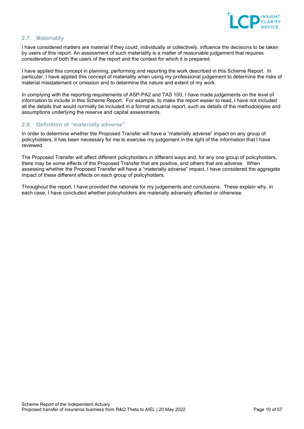

# <span id="page-9-0"></span>**2.7. Materiality**

I have considered matters are material if they could, individually or collectively, influence the decisions to be taken by users of this report. An assessment of such materiality is a matter of reasonable judgement that requires consideration of both the users of the report and the context for which it is prepared.

I have applied this concept in planning, performing and reporting the work described in this Scheme Report. In particular, I have applied this concept of materiality when using my professional judgement to determine the risks of material misstatement or omission and to determine the nature and extent of my work.

In complying with the reporting requirements of ASP-PA2 and TAS 100, I have made judgements on the level of information to include in this Scheme Report. For example, to make the report easier to read, I have not included all the details that would normally be included in a formal actuarial report, such as details of the methodologies and assumptions underlying the reserve and capital assessments.

# <span id="page-9-1"></span>**2.8. Definition of "materially adverse"**

In order to determine whether the Proposed Transfer will have a "materially adverse" impact on any group of policyholders, it has been necessary for me to exercise my judgement in the light of the information that I have reviewed.

The Proposed Transfer will affect different policyholders in different ways and, for any one group of policyholders, there may be some effects of the Proposed Transfer that are positive, and others that are adverse. When assessing whether the Proposed Transfer will have a "materially adverse" impact. I have considered the aggregate impact of these different effects on each group of policyholders.

Throughout the report, I have provided the rationale for my judgements and conclusions. These explain why, in each case, I have concluded whether policyholders are materially adversely affected or otherwise.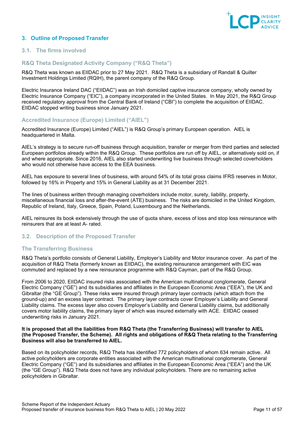

# <span id="page-10-0"></span>**3. Outline of Proposed Transfer**

# <span id="page-10-1"></span>**3.1. The firms involved**

# **R&Q Theta Designated Activity Company ("R&Q Theta")**

R&Q Theta was known as EIIDAC prior to 27 May 2021. R&Q Theta is a subsidiary of Randall & Quilter Investment Holdings Limited (RQIH), the parent company of the R&Q Group.

Electric Insurance Ireland DAC ("EIIDAC") was an Irish domiciled captive insurance company, wholly owned by Electric Insurance Company ("EIC"), a company incorporated in the United States. In May 2021, the R&Q Group received regulatory approval from the Central Bank of Ireland ("CBI") to complete the acquisition of EIIDAC. EIIDAC stopped writing business since January 2021.

## **Accredited Insurance (Europe) Limited ("AIEL")**

Accredited Insurance (Europe) Limited ("AIEL") is R&Q Group's primary European operation. AIEL is headquartered in Malta.

AIEL's strategy is to secure run-off business through acquisition, transfer or merger from third parties and selected European portfolios already within the R&Q Group. These portfolios are run off by AIEL, or alternatively sold on, if and where appropriate. Since 2016, AIEL also started underwriting live business through selected coverholders who would not otherwise have access to the EEA business.

AIEL has exposure to several lines of business, with around 54% of its total gross claims IFRS reserves in Motor, followed by 16% in Property and 15% in General Liability as at 31 December 2021.

The lines of business written through managing coverholders include motor, surety, liability, property, miscellaneous financial loss and after-the-event (ATE) business. The risks are domiciled in the United Kingdom, Republic of Ireland, Italy, Greece, Spain, Poland, Luxembourg and the Netherlands.

AIEL reinsures its book extensively through the use of quota share, excess of loss and stop loss reinsurance with reinsurers that are at least A- rated.

# <span id="page-10-2"></span>**3.2. Description of the Proposed Transfer**

#### **The Transferring Business**

R&Q Theta's portfolio consists of General Liability, Employer's Liability and Motor insurance cover. As part of the acquisition of R&Q Theta (formerly known as EIIDAC), the existing reinsurance arrangement with EIC was commuted and replaced by a new reinsurance programme with R&Q Cayman, part of the R&Q Group.

From 2006 to 2020, EIIDAC insured risks associated with the American multinational conglomerate, General Electric Company ("GE") and its subsidiaries and affiliates in the European Economic Area ("EEA"), the UK and Gibraltar (the "GE Group"). These risks were insured through primary layer contracts (which attach from the ground-up) and an excess layer contract. The primary layer contracts cover Employer's Liability and General Liability claims. The excess layer also covers Employer's Liability and General Liability claims, but additionally covers motor liability claims, the primary layer of which was insured externally with ACE. EIIDAC ceased underwriting risks in January 2021.

#### **It is proposed that all the liabilities from R&Q Theta (the Transferring Business) will transfer to AIEL (the Proposed Transfer, the Scheme). All rights and obligations of R&Q Theta relating to the Transferring Business will also be transferred to AIEL.**

Based on its policyholder records, R&Q Theta has identified 772 policyholders of whom 634 remain active. All active policyholders are corporate entities associated with the American multinational conglomerate, General Electric Company ("GE") and its subsidiaries and affiliates in the European Economic Area ("EEA") and the UK (the "GE Group"). R&Q Theta does not have any individual policyholders. There are no remaining active policyholders in Gibraltar.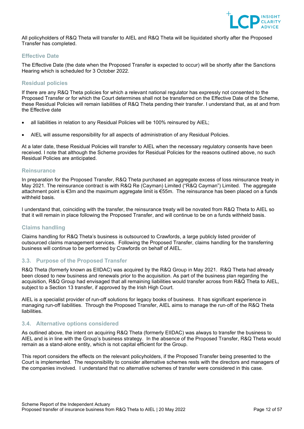

All policyholders of R&Q Theta will transfer to AIEL and R&Q Theta will be liquidated shortly after the Proposed Transfer has completed.

# **Effective Date**

The Effective Date (the date when the Proposed Transfer is expected to occur) will be shortly after the Sanctions Hearing which is scheduled for 3 October 2022.

# **Residual policies**

If there are any R&Q Theta policies for which a relevant national regulator has expressly not consented to the Proposed Transfer or for which the Court determines shall not be transferred on the Effective Date of the Scheme, these Residual Policies will remain liabilities of R&Q Theta pending their transfer. I understand that, as at and from the Effective date

- all liabilities in relation to any Residual Policies will be 100% reinsured by AIEL;
- AIEL will assume responsibility for all aspects of administration of any Residual Policies.

At a later date, these Residual Policies will transfer to AIEL when the necessary regulatory consents have been received. I note that although the Scheme provides for Residual Policies for the reasons outlined above, no such Residual Policies are anticipated.

## **Reinsurance**

In preparation for the Proposed Transfer, R&Q Theta purchased an aggregate excess of loss reinsurance treaty in May 2021. The reinsurance contract is with R&Q Re (Cayman) Limited ("R&Q Cayman") Limited. The aggregate attachment point is €3m and the maximum aggregate limit is €55m. The reinsurance has been placed on a funds withheld basis.

I understand that, coinciding with the transfer, the reinsurance treaty will be novated from R&Q Theta to AIEL so that it will remain in place following the Proposed Transfer, and will continue to be on a funds withheld basis.

# **Claims handling**

Claims handling for R&Q Theta's business is outsourced to Crawfords, a large publicly listed provider of outsourced claims management services. Following the Proposed Transfer, claims handling for the transferring business will continue to be performed by Crawfords on behalf of AIEL.

# <span id="page-11-0"></span>**3.3. Purpose of the Proposed Transfer**

R&Q Theta (formerly known as EIIDAC) was acquired by the R&Q Group in May 2021. R&Q Theta had already been closed to new business and renewals prior to the acquisition. As part of the business plan regarding the acquisition, R&Q Group had envisaged that all remaining liabilities would transfer across from R&Q Theta to AIEL, subject to a Section 13 transfer, if approved by the Irish High Court.

AIEL is a specialist provider of run-off solutions for legacy books of business. It has significant experience in managing run-off liabilities. Through the Proposed Transfer, AIEL aims to manage the run‑off of the R&Q Theta liabilities.

# <span id="page-11-1"></span>**3.4. Alternative options considered**

As outlined above, the intent on acquiring R&Q Theta (formerly EIIDAC) was always to transfer the business to AIEL and is in line with the Group's business strategy. In the absence of the Proposed Transfer, R&Q Theta would remain as a stand-alone entity, which is not capital efficient for the Group.

This report considers the effects on the relevant policyholders, if the Proposed Transfer being presented to the Court is implemented. The responsibility to consider alternative schemes rests with the directors and managers of the companies involved. I understand that no alternative schemes of transfer were considered in this case.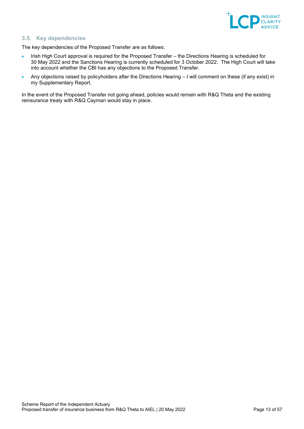

# <span id="page-12-0"></span>**3.5. Key dependencies**

The key dependencies of the Proposed Transfer are as follows:

- Irish High Court approval is required for the Proposed Transfer the Directions Hearing is scheduled for 30 May 2022 and the Sanctions Hearing is currently scheduled for 3 October 2022. The High Court will take into account whether the CBI has any objections to the Proposed Transfer.
- Any objections raised by policyholders after the Directions Hearing I will comment on these (if any exist) in my Supplementary Report.

In the event of the Proposed Transfer not going ahead, policies would remain with R&Q Theta and the existing reinsurance treaty with R&Q Cayman would stay in place.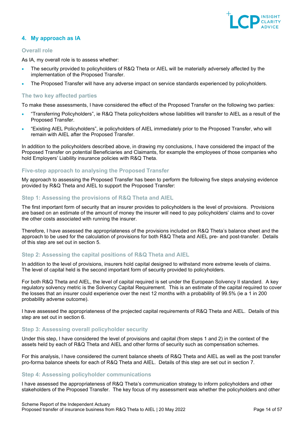

# <span id="page-13-0"></span>**4. My approach as IA**

# **Overall role**

As IA, my overall role is to assess whether:

- The security provided to policyholders of R&Q Theta or AIEL will be materially adversely affected by the implementation of the Proposed Transfer.
- The Proposed Transfer will have any adverse impact on service standards experienced by policyholders.

# **The two key affected parties**

To make these assessments, I have considered the effect of the Proposed Transfer on the following two parties:

- "Transferring Policyholders", ie R&Q Theta policyholders whose liabilities will transfer to AIEL as a result of the Proposed Transfer.
- "Existing AIEL Policyholders", ie policyholders of AIEL immediately prior to the Proposed Transfer, who will remain with AIEL after the Proposed Transfer.

In addition to the policyholders described above, in drawing my conclusions, I have considered the impact of the Proposed Transfer on potential Beneficiaries and Claimants, for example the employees of those companies who hold Employers' Liability insurance policies with R&Q Theta.

# **Five-step approach to analysing the Proposed Transfer**

My approach to assessing the Proposed Transfer has been to perform the following five steps analysing evidence provided by R&Q Theta and AIEL to support the Proposed Transfer:

# **Step 1: Assessing the provisions of R&Q Theta and AIEL**

The first important form of security that an insurer provides to policyholders is the level of provisions. Provisions are based on an estimate of the amount of money the insurer will need to pay policyholders' claims and to cover the other costs associated with running the insurer.

Therefore, I have assessed the appropriateness of the provisions included on R&Q Theta's balance sheet and the approach to be used for the calculation of provisions for both R&Q Theta and AIEL pre- and post-transfer. Details of this step are set out in section 5.

# **Step 2: Assessing the capital positions of R&Q Theta and AIEL**

In addition to the level of provisions, insurers hold capital designed to withstand more extreme levels of claims. The level of capital held is the second important form of security provided to policyholders.

For both R&Q Theta and AIEL, the level of capital required is set under the European Solvency II standard. A key regulatory solvency metric is the Solvency Capital Requirement. This is an estimate of the capital required to cover the losses that an insurer could experience over the next 12 months with a probability of 99.5% (ie a 1 in 200 probability adverse outcome).

I have assessed the appropriateness of the projected capital requirements of R&Q Theta and AIEL. Details of this step are set out in section 6.

# **Step 3: Assessing overall policyholder security**

Under this step, I have considered the level of provisions and capital (from steps 1 and 2) in the context of the assets held by each of R&Q Theta and AIEL and other forms of security such as compensation schemes.

For this analysis, I have considered the current balance sheets of R&Q Theta and AIEL as well as the post transfer pro-forma balance sheets for each of R&Q Theta and AIEL. Details of this step are set out in section 7.

#### **Step 4: Assessing policyholder communications**

I have assessed the appropriateness of R&Q Theta's communication strategy to inform policyholders and other stakeholders of the Proposed Transfer. The key focus of my assessment was whether the policyholders and other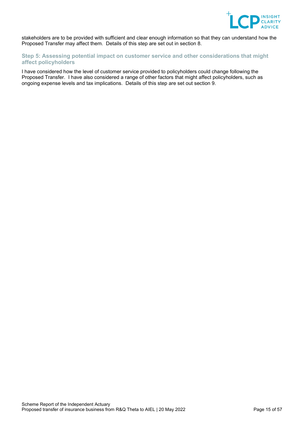

stakeholders are to be provided with sufficient and clear enough information so that they can understand how the Proposed Transfer may affect them. Details of this step are set out in section 8.

# **Step 5: Assessing potential impact on customer service and other considerations that might affect policyholders**

I have considered how the level of customer service provided to policyholders could change following the Proposed Transfer. I have also considered a range of other factors that might affect policyholders, such as ongoing expense levels and tax implications. Details of this step are set out section 9.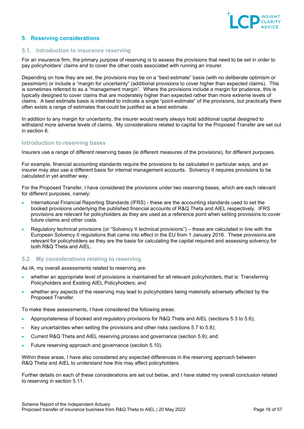

# <span id="page-15-0"></span>**5. Reserving considerations**

## <span id="page-15-1"></span>**5.1. Introduction to insurance reserving**

For an insurance firm, the primary purpose of reserving is to assess the provisions that need to be set in order to pay policyholders' claims and to cover the other costs associated with running an insurer.

Depending on how they are set, the provisions may be on a "best estimate" basis (with no deliberate optimism or pessimism) or include a "margin for uncertainty" (additional provisions to cover higher than expected claims). This is sometimes referred to as a "management margin". Where the provisions include a margin for prudence, this is typically designed to cover claims that are moderately higher than expected rather than more extreme levels of claims. A best estimate basis is intended to indicate a single "point-estimate" of the provisions, but practically there often exists a range of estimates that could be justified as a best estimate.

In addition to any margin for uncertainty, the insurer would nearly always hold additional capital designed to withstand more adverse levels of claims. My considerations related to capital for the Proposed Transfer are set out in section [6.](#page-24-0)

#### **Introduction to reserving bases**

Insurers use a range of different reserving bases (ie different measures of the provisions), for different purposes.

For example, financial accounting standards require the provisions to be calculated in particular ways, and an insurer may also use a different basis for internal management accounts. Solvency II requires provisions to be calculated in yet another way.

For the Proposed Transfer, I have considered the provisions under two reserving bases, which are each relevant for different purposes, namely:

- International Financial Reporting Standards (IFRS) these are the accounting standards used to set the booked provisions underlying the published financial accounts of R&Q Theta and AIEL respectively. IFRS provisions are relevant for policyholders as they are used as a reference point when setting provisions to cover future claims and other costs.
- Regulatory technical provisions (or "Solvency II technical provisions") these are calculated in line with the European Solvency II regulations that came into effect in the EU from 1 January 2016. These provisions are relevant for policyholders as they are the basis for calculating the capital required and assessing solvency for both R&Q Theta and AIEL.

# <span id="page-15-2"></span>**5.2. My considerations relating to reserving**

As IA, my overall assessments related to reserving are:

- whether an appropriate level of provisions is maintained for all relevant policyholders, that is: Transferring Policyholders and Existing AIEL Policyholders; and
- whether any aspects of the reserving may lead to policyholders being materially adversely affected by the Proposed Transfer.

To make these assessments, I have considered the following areas:

- Appropriateness of booked and regulatory provisions for R&Q Theta and AIEL (sections 5.3 to 5.6);
- Key uncertainties when setting the provisions and other risks (sections 5.7 to 5.8);
- Current R&Q Theta and AIEL reserving process and governance (section 5.9); and
- Future reserving approach and governance (section 5.10).

Within these areas, I have also considered any expected differences in the reserving approach between R&Q Theta and AIEL to understand how this may affect policyholders.

Further details on each of these considerations are set out below, and I have stated my overall conclusion related to reserving in section 5.11.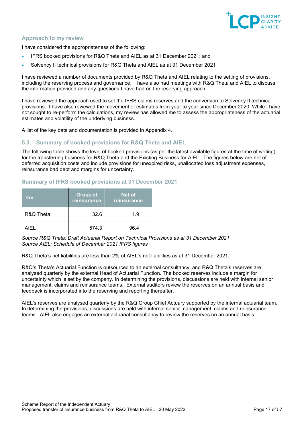

# **Approach to my review**

I have considered the appropriateness of the following:

- IFRS booked provisions for R&Q Theta and AIEL as at 31 December 2021; and
- Solvency II technical provisions for R&Q Theta and AIEL as at 31 December 2021

I have reviewed a number of documents provided by R&Q Theta and AIEL relating to the setting of provisions, including the reserving process and governance. I have also had meetings with R&Q Theta and AIEL to discuss the information provided and any questions I have had on the reserving approach.

I have reviewed the approach used to set the IFRS claims reserves and the conversion to Solvency II technical provisions. I have also reviewed the movement of estimates from year to year since December 2020. While I have not sought to re-perform the calculations, my review has allowed me to assess the appropriateness of the actuarial estimates and volatility of the underlying business.

A list of the key data and documentation is provided in Appendix 4.

# <span id="page-16-0"></span>**5.3. Summary of booked provisions for R&Q Theta and AIEL**

The following table shows the level of booked provisions (as per the latest available figures at the time of writing) for the transferring business for R&Q Theta and the Existing Business for AIEL. The figures below are net of deferred acquisition costs and include provisions for unexpired risks, unallocated loss adjustment expenses, reinsurance bad debt and margins for uncertainty.

# **Summary of IFRS booked provisions at 31 December 2021**

| €m        | <b>Gross of</b><br>reinsurance | Net of<br>reinsurance |
|-----------|--------------------------------|-----------------------|
| R&Q Theta | 32.6                           | 1.9                   |
| AIFL      | 574.3                          | 96.4                  |

*Source R&Q Theta: Draft Actuarial Report on Technical Provisions as at 31 December 2021 Source AIEL: Schedule of December 2021 IFRS figures*

R&Q Theta's net liabilities are less than 2% of AIEL's net liabilities as at 31 December 2021.

R&Q's Theta's Actuarial Function is outsourced to an external consultancy, and R&Q Theta's reserves are analysed quarterly by the external Head of Actuarial Function. The booked reserves include a margin for uncertainty which is set by the company. In determining the provisions, discussions are held with internal senior management, claims and reinsurance teams. External auditors review the reserves on an annual basis and feedback is incorporated into the reserving and reporting thereafter.

AIEL's reserves are analysed quarterly by the R&Q Group Chief Actuary supported by the internal actuarial team. In determining the provisions, discussions are held with internal senior management, claims and reinsurance teams. AIEL also engages an external actuarial consultancy to review the reserves on an annual basis.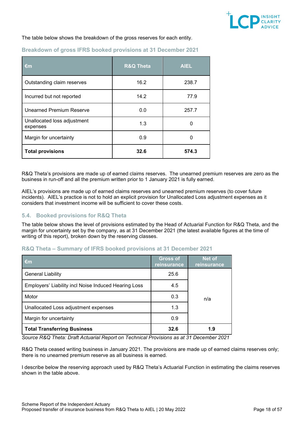

The table below shows the breakdown of the gross reserves for each entity.

| €m                                      | <b>R&amp;Q Theta</b> | <b>AIEL</b> |
|-----------------------------------------|----------------------|-------------|
| Outstanding claim reserves              | 16.2                 | 238.7       |
| Incurred but not reported               | 14.2                 | 77.9        |
| <b>Unearned Premium Reserve</b>         | 0.0                  | 257.7       |
| Unallocated loss adjustment<br>expenses | 1.3                  | 0           |
| Margin for uncertainty                  | 0.9                  | ი           |
| <b>Total provisions</b>                 | 32.6                 | 574.3       |

# **Breakdown of gross IFRS booked provisions at 31 December 2021**

R&Q Theta's provisions are made up of earned claims reserves. The unearned premium reserves are zero as the business in run-off and all the premium written prior to 1 January 2021 is fully earned.

AIEL's provisions are made up of earned claims reserves and unearned premium reserves (to cover future incidents). AIEL's practice is not to hold an explicit provision for Unallocated Loss adjustment expenses as it considers that investment income will be sufficient to cover these costs.

# <span id="page-17-0"></span>**5.4. Booked provisions for R&Q Theta**

The table below shows the level of provisions estimated by the Head of Actuarial Function for R&Q Theta, and the margin for uncertainty set by the company, as at 31 December 2021 (the latest available figures at the time of writing of this report), broken down by the reserving classes.

## **R&Q Theta – Summary of IFRS booked provisions at 31 December 2021**

| €m                                                   | <b>Gross of</b><br>reinsurance | <b>Net of</b><br>reinsurance |
|------------------------------------------------------|--------------------------------|------------------------------|
| <b>General Liability</b>                             | 25.6                           |                              |
| Employers' Liability incl Noise Induced Hearing Loss | 4.5                            |                              |
| Motor                                                | 0.3                            | n/a                          |
| Unallocated Loss adjustment expenses                 | 1.3                            |                              |
| Margin for uncertainty                               | 0.9                            |                              |
| <b>Total Transferring Business</b>                   | 32.6                           | 1.9                          |

*Source R&Q Theta: Draft Actuarial Report on Technical Provisions as at 31 December 2021*

R&Q Theta ceased writing business in January 2021. The provisions are made up of earned claims reserves only; there is no unearned premium reserve as all business is earned.

I describe below the reserving approach used by R&Q Theta's Actuarial Function in estimating the claims reserves shown in the table above.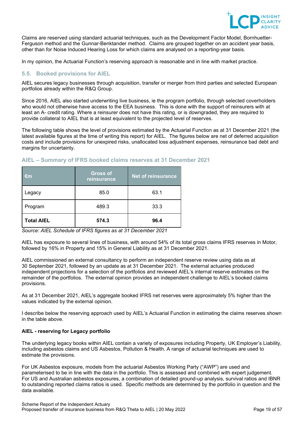

Claims are reserved using standard actuarial techniques, such as the Development Factor Model, Bornhuetter-Ferguson method and the Gunnar-Benktander method. Claims are grouped together on an accident year basis, other than for Noise Induced Hearing Loss for which claims are analysed on a reporting-year basis.

In my opinion, the Actuarial Function's reserving approach is reasonable and in line with market practice.

# <span id="page-18-0"></span>**5.5. Booked provisions for AIEL**

AIEL secures legacy businesses through acquisition, transfer or merger from third parties and selected European portfolios already within the R&Q Group.

Since 2016, AIEL also started underwriting live business, ie the program portfolio, through selected coverholders who would not otherwise have access to the EEA business. This is done with the support of reinsurers with at least an A- credit rating. Where a reinsurer does not have this rating, or is downgraded, they are required to provide collateral to AIEL that is at least equivalent to the projected level of reserves.

The following table shows the level of provisions estimated by the Actuarial Function as at 31 December 2021 (the latest available figures at the time of writing this report) for AIEL. The figures below are net of deferred acquisition costs and include provisions for unexpired risks, unallocated loss adjustment expenses, reinsurance bad debt and margins for uncertainty.

# **AIEL – Summary of IFRS booked claims reserves at 31 December 2021**

| €m                | <b>Gross of</b><br>reinsurance | <b>Net of reinsurance</b> |
|-------------------|--------------------------------|---------------------------|
| Legacy            | 85.0                           | 63.1                      |
| Program           | 489.3                          | 33.3                      |
| <b>Total AIEL</b> | 574.3                          | 96.4                      |

*Source: AIEL Schedule of IFRS figures as at 31 December 2021*

AIEL has exposure to several lines of business, with around 54% of its total gross claims IFRS reserves in Motor, followed by 16% in Property and 15% in General Liability as at 31 December 2021.

AIEL commissioned an external consultancy to perform an independent reserve review using data as at 30 September 2021, followed by an update as at 31 December 2021. The external actuaries produced independent projections for a selection of the portfolios and reviewed AIEL's internal reserve estimates on the remainder of the portfolios. The external opinion provides an independent challenge to AIEL's booked claims provisions.

As at 31 December 2021, AIEL's aggregate booked IFRS net reserves were approximately 5% higher than the values indicated by the external opinion.

I describe below the reserving approach used by AIEL's Actuarial Function in estimating the claims reserves shown in the table above.

# **AIEL - reserving for Legacy portfolio**

The underlying legacy books within AIEL contain a variety of exposures including Property, UK Employer's Liability, including asbestos claims and US Asbestos, Pollution & Health. A range of actuarial techniques are used to estimate the provisions.

For UK Asbestos exposure, models from the actuarial Asbestos Working Party ("AWP") are used and parameterised to be in line with the data in the portfolio. This is assessed and combined with expert judgement. For US and Australian asbestos exposures, a combination of detailed ground-up analysis, survival ratios and IBNR to outstanding reported claims ratios is used. Specific methods are determined by the portfolio in question and the data available.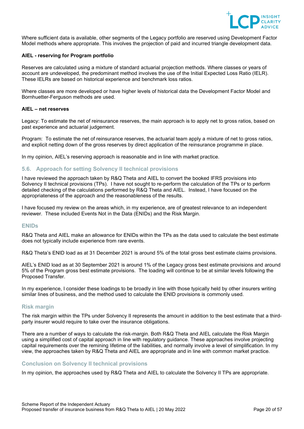

Where sufficient data is available, other segments of the Legacy portfolio are reserved using Development Factor Model methods where appropriate. This involves the projection of paid and incurred triangle development data.

## **AIEL - reserving for Program portfolio**

Reserves are calculated using a mixture of standard actuarial projection methods. Where classes or years of account are undeveloped, the predominant method involves the use of the Initial Expected Loss Ratio (IELR). These IELRs are based on historical experience and benchmark loss ratios.

Where classes are more developed or have higher levels of historical data the Development Factor Model and Bornhuetter-Ferguson methods are used.

#### **AIEL – net reserves**

Legacy: To estimate the net of reinsurance reserves, the main approach is to apply net to gross ratios, based on past experience and actuarial judgement.

Program: To estimate the net of reinsurance reserves, the actuarial team apply a mixture of net to gross ratios, and explicit netting down of the gross reserves by direct application of the reinsurance programme in place.

In my opinion, AIEL's reserving approach is reasonable and in line with market practice.

## <span id="page-19-0"></span>**5.6. Approach for setting Solvency II technical provisions**

I have reviewed the approach taken by R&Q Theta and AIEL to convert the booked IFRS provisions into Solvency II technical provisions (TPs). I have not sought to re-perform the calculation of the TPs or to perform detailed checking of the calculations performed by R&Q Theta and AIEL. Instead, I have focused on the appropriateness of the approach and the reasonableness of the results.

I have focused my review on the areas which, in my experience, are of greatest relevance to an independent reviewer. These included Events Not in the Data (ENIDs) and the Risk Margin.

## **ENIDs**

R&Q Theta and AIEL make an allowance for ENIDs within the TPs as the data used to calculate the best estimate does not typically include experience from rare events.

R&Q Theta's ENID load as at 31 December 2021 is around 5% of the total gross best estimate claims provisions.

AIEL's ENID load as at 30 September 2021 is around 1% of the Legacy gross best estimate provisions and around 5% of the Program gross best estimate provisions. The loading will continue to be at similar levels following the Proposed Transfer.

In my experience, I consider these loadings to be broadly in line with those typically held by other insurers writing similar lines of business, and the method used to calculate the ENID provisions is commonly used.

#### **Risk margin**

The risk margin within the TPs under Solvency II represents the amount in addition to the best estimate that a thirdparty insurer would require to take over the insurance obligations.

There are a number of ways to calculate the risk-margin. Both R&Q Theta and AIEL calculate the Risk Margin using a simplified cost of capital approach in line with regulatory guidance. These approaches involve projecting capital requirements over the remining lifetime of the liabilities, and normally involve a level of simplification. In my view, the approaches taken by R&Q Theta and AIEL are appropriate and in line with common market practice.

#### **Conclusion on Solvency II technical provisions**

In my opinion, the approaches used by R&Q Theta and AIEL to calculate the Solvency II TPs are appropriate.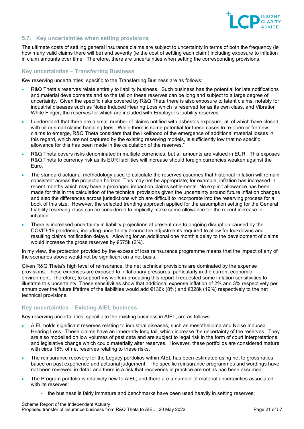

# <span id="page-20-0"></span>**5.7. Key uncertainties when setting provisions**

The ultimate costs of settling general insurance claims are subject to uncertainty in terms of both the frequency (ie how many valid claims there will be) and severity (ie the cost of settling each claim) including exposure to inflation in claim amounts over time. Therefore, there are uncertainties when setting the corresponding provisions.

## **Key uncertainties – Transferring Business**

Key reserving uncertainties, specific to the Transferring Business are as follows:

- R&Q Theta's reserves relate entirely to liability business. Such business has the potential for late notifications and material developments and so the tail on these reserves can be long and subject to a large degree of uncertainty. Given the specific risks covered by R&Q Theta there is also exposure to latent claims, notably for industrial diseases such as Noise Induced Hearing Loss which is reserved for as its own class, and Vibration White Finger, the reserves for which are included with Employer's Liability reserves.
- I understand that there are a small number of claims notified with asbestos exposure, all of which have closed with nil or small claims handling fees. While there is some potential for these cases to re-open or for new claims to emerge, R&Q Theta considers that the likelihood of the emergence of additional material losses in this regard, which are not captured by the existing reserving models, is sufficiently low that no specific allowance for this has been made in the calculation of the reserves."
- R&Q Theta covers risks denominated in multiple currencies, but all amounts are valued in EUR. This exposes R&Q Theta to currency risk as its EUR liabilities will increase should foreign currencies weaken against the Euro.
- The standard actuarial methodology used to calculate the reserves assumes that historical inflation will remain consistent across the projection horizon. This may not be appropriate; for example, inflation has increased in recent months which may have a prolonged impact on claims settlements. No explicit allowance has been made for this in the calculation of the technical provisions given the uncertainty around future inflation changes and also the differences across jurisdictions which are difficult to incorporate into the reserving process for a book of this size. However, the selected trending approach applied for the assumption setting for the General Liability reserving class can be considered to implicitly make some allowance for the recent increase in inflation.
- There is increased uncertainty in liability projections at present due to ongoing disruption caused by the COVID-19 pandemic, including uncertainty around the adjustments required to allow for lockdowns and resulting claims notification delays. Allowing for an additional one month's delay to the development of claims would increase the gross reserves by €575k (2%).

In my view, the protection provided by the excess of loss reinsurance programme means that the impact of any of the scenarios above would not be significant on a net basis.

Given R&Q Theta's high level of reinsurance, the net technical provisions are dominated by the expense provisions. These expenses are exposed to inflationary pressures, particularly in the current economic environment. Therefore, to support my work in producing this report I requested some inflation sensitivities to illustrate this uncertainty. These sensitivities show that additional expense inflation of 2% and 3% respectively per annum over the future lifetime of the liabilities would add €136k (8%) and €328k (19%) respectively to the net technical provisions.

# **Key uncertainties – Existing AIEL business**

Key reserving uncertainties, specific to the existing business in AIEL, are as follows:

- AIEL holds significant reserves relating to industrial diseases, such as mesothelioma and Noise Induced Hearing Loss. These claims have an inherently long tail, which increase the uncertainty of the reserves. They are also modelled on low volumes of past data and are subject to legal risk in the form of court interpretations and legislative change which could materially alter reserves. However, these portfolios are considered mature with circa 15% of net reserves relating to these risks.
- The reinsurance recovery for the Legacy portfolios within AIEL has been estimated using net to gross ratios based on past experience and actuarial judgement. The specific reinsurance programmes and wordings have not been reviewed in detail and there is a risk that recoveries in practice are not as has been assumed.
- The Program portfolio is relatively new to AIEL, and there are a number of material uncertainties associated with its reserves:
	- the business is fairly immature and benchmarks have been used heavily in setting reserves;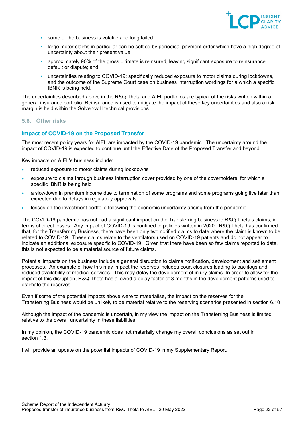

- some of the business is volatile and long tailed;
- large motor claims in particular can be settled by periodical payment order which have a high degree of uncertainty about their present value;
- approximately 90% of the gross ultimate is reinsured, leaving significant exposure to reinsurance default or dispute; and
- uncertainties relating to COVID-19; specifically reduced exposure to motor claims during lockdowns, and the outcome of the Supreme Court case on business interruption wordings for a which a specific IBNR is being held.

The uncertainties described above in the R&Q Theta and AIEL portfolios are typical of the risks written within a general insurance portfolio. Reinsurance is used to mitigate the impact of these key uncertainties and also a risk margin is held within the Solvency II technical provisions.

# <span id="page-21-0"></span>**5.8. Other risks**

# **Impact of COVID-19 on the Proposed Transfer**

The most recent policy years for AIEL are impacted by the COVID-19 pandemic. The uncertainty around the impact of COVID-19 is expected to continue until the Effective Date of the Proposed Transfer and beyond.

Key impacts on AIEL's business include:

- reduced exposure to motor claims during lockdowns
- exposure to claims through business interruption cover provided by one of the coverholders, for which a specific IBNR is being held
- a slowdown in premium income due to termination of some programs and some programs going live later than expected due to delays in regulatory approvals.
- losses on the investment portfolio following the economic uncertainty arising from the pandemic.

The COVID-19 pandemic has not had a significant impact on the Transferring business ie R&Q Theta's claims, in terms of direct losses. Any impact of COVID-19 is confined to policies written in 2020. R&Q Theta has confirmed that, for the Transferring Business, there have been only two notified claims to date where the claim is known to be related to COVID-19. These claims relate to the ventilators used on COVID-19 patients and do not appear to indicate an additional exposure specific to COVID-19. Given that there have been so few claims reported to date, this is not expected to be a material source of future claims.

Potential impacts on the business include a general disruption to claims notification, development and settlement processes. An example of how this may impact the reserves includes court closures leading to backlogs and reduced availability of medical services. This may delay the development of injury claims. In order to allow for the impact of this disruption, R&Q Theta has allowed a delay factor of 3 months in the development patterns used to estimate the reserves.

Even if some of the potential impacts above were to materialise, the impact on the reserves for the Transferring Business would be unlikely to be material relative to the reserving scenarios presented in section 6.10.

Although the impact of the pandemic is uncertain, in my view the impact on the Transferring Business is limited relative to the overall uncertainty in these liabilities.

In my opinion, the COVID-19 pandemic does not materially change my overall conclusions as set out in section [1.3.](#page-4-1)

I will provide an update on the potential impacts of COVID-19 in my Supplementary Report.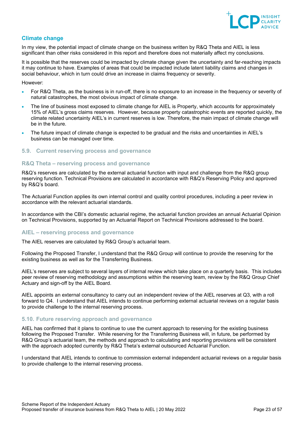

# **Climate change**

In my view, the potential impact of climate change on the business written by R&Q Theta and AIEL is less significant than other risks considered in this report and therefore does not materially affect my conclusions.

It is possible that the reserves could be impacted by climate change given the uncertainty and far-reaching impacts it may continue to have. Examples of areas that could be impacted include latent liability claims and changes in social behaviour, which in turn could drive an increase in claims frequency or severity. 

However:

- For R&Q Theta, as the business is in run-off, there is no exposure to an increase in the frequency or severity of natural catastrophes, the most obvious impact of climate change.
- The line of business most exposed to climate change for AIEL is Property, which accounts for approximately 15% of AIEL's gross claims reserves. However, because property catastrophic events are reported quickly, the climate related uncertainty AIEL's in current reserves is low. Therefore, the main impact of climate change will be in the future.
- The future impact of climate change is expected to be gradual and the risks and uncertainties in AIEL's business can be managed over time.

## <span id="page-22-0"></span>**5.9. Current reserving process and governance**

#### **R&Q Theta – reserving process and governance**

R&Q's reserves are calculated by the external actuarial function with input and challenge from the R&Q group reserving function. Technical Provisions are calculated in accordance with R&Q's Reserving Policy and approved by R&Q's board.

The Actuarial Function applies its own internal control and quality control procedures, including a peer review in accordance with the relevant actuarial standards.

In accordance with the CBI's domestic actuarial regime, the actuarial function provides an annual Actuarial Opinion on Technical Provisions, supported by an Actuarial Report on Technical Provisions addressed to the board.

#### **AIEL – reserving process and governance**

The AIEL reserves are calculated by R&Q Group's actuarial team.

Following the Proposed Transfer, I understand that the R&Q Group will continue to provide the reserving for the existing business as well as for the Transferring Business.

AIEL's reserves are subject to several layers of internal review which take place on a quarterly basis. This includes peer review of reserving methodology and assumptions within the reserving team, review by the R&Q Group Chief Actuary and sign-off by the AIEL Board.

AIEL appoints an external consultancy to carry out an independent review of the AIEL reserves at Q3, with a roll forward to Q4. I understand that AIEL intends to continue performing external actuarial reviews on a regular basis to provide challenge to the internal reserving process.

## <span id="page-22-1"></span>**5.10. Future reserving approach and governance**

AIEL has confirmed that it plans to continue to use the current approach to reserving for the existing business following the Proposed Transfer. While reserving for the Transferring Business will, in future, be performed by R&Q Group's actuarial team, the methods and approach to calculating and reporting provisions will be consistent with the approach adopted currently by R&Q Theta's external outsourced Actuarial Function.

I understand that AIEL intends to continue to commission external independent actuarial reviews on a regular basis to provide challenge to the internal reserving process.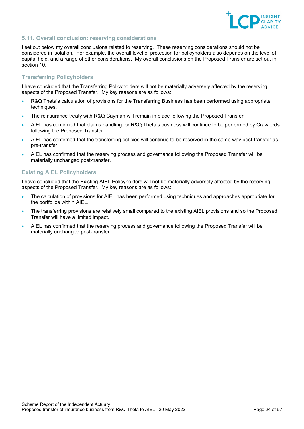

# <span id="page-23-0"></span>**5.11. Overall conclusion: reserving considerations**

I set out below my overall conclusions related to reserving. These reserving considerations should not be considered in isolation. For example, the overall level of protection for policyholders also depends on the level of capital held, and a range of other considerations. My overall conclusions on the Proposed Transfer are set out in section [10.](#page-44-0)

# **Transferring Policyholders**

I have concluded that the Transferring Policyholders will not be materially adversely affected by the reserving aspects of the Proposed Transfer. My key reasons are as follows:

- R&Q Theta's calculation of provisions for the Transferring Business has been performed using appropriate techniques.
- The reinsurance treaty with R&Q Cayman will remain in place following the Proposed Transfer.
- AIEL has confirmed that claims handling for R&Q Theta's business will continue to be performed by Crawfords following the Proposed Transfer.
- AIEL has confirmed that the transferring policies will continue to be reserved in the same way post-transfer as pre-transfer.
- AIEL has confirmed that the reserving process and governance following the Proposed Transfer will be materially unchanged post-transfer.

# **Existing AIEL Policyholders**

I have concluded that the Existing AIEL Policyholders will not be materially adversely affected by the reserving aspects of the Proposed Transfer. My key reasons are as follows:

- The calculation of provisions for AIEL has been performed using techniques and approaches appropriate for the portfolios within AIEL.
- The transferring provisions are relatively small compared to the existing AIEL provisions and so the Proposed Transfer will have a limited impact.
- AIEL has confirmed that the reserving process and governance following the Proposed Transfer will be materially unchanged post-transfer.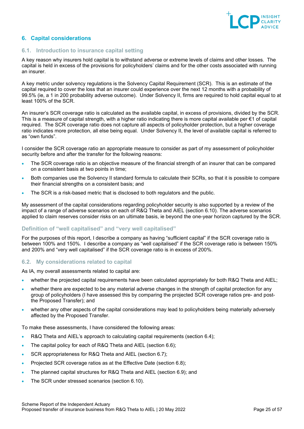

# <span id="page-24-0"></span>**6. Capital considerations**

## <span id="page-24-1"></span>**6.1. Introduction to insurance capital setting**

A key reason why insurers hold capital is to withstand adverse or extreme levels of claims and other losses. The capital is held in excess of the provisions for policyholders' claims and for the other costs associated with running an insurer.

A key metric under solvency regulations is the Solvency Capital Requirement (SCR). This is an estimate of the capital required to cover the loss that an insurer could experience over the next 12 months with a probability of 99.5% (ie, a 1 in 200 probability adverse outcome). Under Solvency II, firms are required to hold capital equal to at least 100% of the SCR.

An insurer's SCR coverage ratio is calculated as the available capital, in excess of provisions, divided by the SCR. This is a measure of capital strength, with a higher ratio indicating there is more capital available per  $\epsilon$ 1 of capital required. The SCR coverage ratio does not capture all aspects of policyholder protection, but a higher coverage ratio indicates more protection, all else being equal. Under Solvency II, the level of available capital is referred to as "own funds".

I consider the SCR coverage ratio an appropriate measure to consider as part of my assessment of policyholder security before and after the transfer for the following reasons:

- The SCR coverage ratio is an objective measure of the financial strength of an insurer that can be compared on a consistent basis at two points in time;
- Both companies use the Solvency II standard formula to calculate their SCRs, so that it is possible to compare their financial strengths on a consistent basis; and
- The SCR is a risk-based metric that is disclosed to both regulators and the public.

My assessment of the capital considerations regarding policyholder security is also supported by a review of the impact of a range of adverse scenarios on each of R&Q Theta and AIEL (section 6.10). The adverse scenarios applied to claim reserves consider risks on an ultimate basis, ie beyond the one-year horizon captured by the SCR.

# **Definition of "well capitalised" and "very well capitalised"**

For the purposes of this report, I describe a company as having "sufficient capital" if the SCR coverage ratio is between 100% and 150%. I describe a company as "well capitalised" if the SCR coverage ratio is between 150% and 200% and "very well capitalised" if the SCR coverage ratio is in excess of 200%.

# <span id="page-24-2"></span>**6.2. My considerations related to capital**

As IA, my overall assessments related to capital are:

- whether the projected capital requirements have been calculated appropriately for both R&Q Theta and AIEL;
- whether there are expected to be any material adverse changes in the strength of capital protection for any group of policyholders (I have assessed this by comparing the projected SCR coverage ratios pre- and postthe Proposed Transfer); and
- whether any other aspects of the capital considerations may lead to policyholders being materially adversely affected by the Proposed Transfer.

To make these assessments, I have considered the following areas:

- R&Q Theta and AIEL's approach to calculating capital requirements (section 6.4);
- The capital policy for each of R&Q Theta and AIEL (section [6.6\)](#page-27-0);
- SCR appropriateness for R&Q Theta and AIEL (section [6.7\)](#page-27-1);
- Projected SCR coverage ratios as at the Effective Date (section [6.8\)](#page-29-0);
- The planned capital structures for R&Q Theta and AIEL (section [6.9\)](#page-30-0); and
- The SCR under stressed scenarios (section [6.10\)](#page-30-2).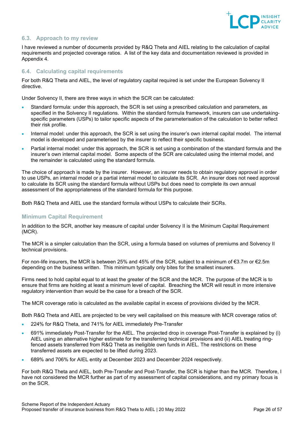

# <span id="page-25-0"></span>**6.3. Approach to my review**

I have reviewed a number of documents provided by R&Q Theta and AIEL relating to the calculation of capital requirements and projected coverage ratios. A list of the key data and documentation reviewed is provided in Appendix 4.

## <span id="page-25-1"></span>**6.4. Calculating capital requirements**

For both R&Q Theta and AIEL, the level of regulatory capital required is set under the European Solvency II directive.

Under Solvency II, there are three ways in which the SCR can be calculated:

- Standard formula: under this approach, the SCR is set using a prescribed calculation and parameters, as specified in the Solvency II regulations. Within the standard formula framework, insurers can use undertakingspecific parameters (USPs) to tailor specific aspects of the parameterisation of the calculation to better reflect their risk profile.
- Internal model: under this approach, the SCR is set using the insurer's own internal capital model. The internal model is developed and parameterised by the insurer to reflect their specific business.
- Partial internal model: under this approach, the SCR is set using a combination of the standard formula and the insurer's own internal capital model. Some aspects of the SCR are calculated using the internal model, and the remainder is calculated using the standard formula.

The choice of approach is made by the insurer. However, an insurer needs to obtain regulatory approval in order to use USPs, an internal model or a partial internal model to calculate its SCR. An insurer does not need approval to calculate its SCR using the standard formula without USPs but does need to complete its own annual assessment of the appropriateness of the standard formula for this purpose.

Both R&Q Theta and AIEL use the standard formula without USPs to calculate their SCRs.

# **Minimum Capital Requirement**

In addition to the SCR, another key measure of capital under Solvency II is the Minimum Capital Requirement (MCR).

The MCR is a simpler calculation than the SCR, using a formula based on volumes of premiums and Solvency II technical provisions.

For non-life insurers, the MCR is between 25% and 45% of the SCR, subject to a minimum of €3.7m or €2.5m depending on the business written. This minimum typically only bites for the smallest insurers.

Firms need to hold capital equal to at least the greater of the SCR and the MCR. The purpose of the MCR is to ensure that firms are holding at least a minimum level of capital. Breaching the MCR will result in more intensive regulatory intervention than would be the case for a breach of the SCR.

The MCR coverage ratio is calculated as the available capital in excess of provisions divided by the MCR.

Both R&Q Theta and AIEL are projected to be very well capitalised on this measure with MCR coverage ratios of:

- 224% for R&Q Theta, and 741% for AIEL immediately Pre-Transfer
- 691% immediately Post-Transfer for the AIEL. The projected drop in coverage Post-Transfer is explained by (i) AIEL using an alternative higher estimate for the transferring technical provisions and (ii) AIEL treating ringfenced assets transferred from R&Q Theta as ineligible own funds in AIEL. The restrictions on these transferred assets are expected to be lifted during 2023.
- 689% and 706% for AIEL entity at December 2023 and December 2024 respectively.

For both R&Q Theta and AIEL, both Pre-Transfer and Post-Transfer, the SCR is higher than the MCR. Therefore, I have not considered the MCR further as part of my assessment of capital considerations, and my primary focus is on the SCR.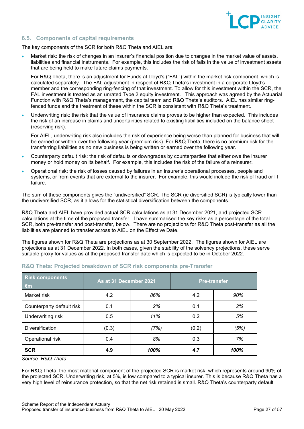

# <span id="page-26-0"></span>**6.5. Components of capital requirements**

The key components of the SCR for both R&Q Theta and AIEL are:

• Market risk: the risk of changes in an insurer's financial position due to changes in the market value of assets, liabilities and financial instruments. For example, this includes the risk of falls in the value of investment assets that are being held to make future claims payments.

For R&Q Theta, there is an adjustment for Funds at Lloyd's ("FAL") within the market risk component, which is calculated separately. The FAL adjustment in respect of R&Q Theta's investment in a corporate Lloyd's member and the corresponding ring-fencing of that investment. To allow for this investment within the SCR, the FAL investment is treated as an unrated Type 2 equity investment. This approach was agreed by the Actuarial Function with R&Q Theta's management, the capital team and R&Q Theta's auditors. AIEL has similar ringfenced funds and the treatment of these within the SCR is consistent with R&Q Theta's treatment.

• Underwriting risk: the risk that the value of insurance claims proves to be higher than expected. This includes the risk of an increase in claims and uncertainties related to existing liabilities included on the balance sheet (reserving risk).

For AIEL, underwriting risk also includes the risk of experience being worse than planned for business that will be earned or written over the following year (premium risk). For R&Q Theta, there is no premium risk for the transferring liabilities as no new business is being written or earned over the following year.

- Counterparty default risk: the risk of defaults or downgrades by counterparties that either owe the insurer money or hold money on its behalf. For example, this includes the risk of the failure of a reinsurer.
- Operational risk: the risk of losses caused by failures in an insurer's operational processes, people and systems, or from events that are external to the insurer. For example, this would include the risk of fraud or IT failure.

The sum of these components gives the "undiversified" SCR. The SCR (ie diversified SCR) is typically lower than the undiversified SCR, as it allows for the statistical diversification between the components.

R&Q Theta and AIEL have provided actual SCR calculations as at 31 December 2021, and projected SCR calculations at the time of the proposed transfer. I have summarised the key risks as a percentage of the total SCR, both pre-transfer and post-transfer, below. There are no projections for R&Q Theta post-transfer as all the liabilities are planned to transfer across to AIEL on the Effective Date.

The figures shown for R&Q Theta are projections as at 30 September 2022. The figures shown for AIEL are projections as at 31 December 2022. In both cases, given the stability of the solvency projections, these serve suitable proxy for values as at the proposed transfer date which is expected to be in October 2022.

| <b>Risk components</b><br>$\epsilon$ m | As at 31 December 2021<br><b>Pre-transfer</b> |      |       |      |
|----------------------------------------|-----------------------------------------------|------|-------|------|
| Market risk                            | 4.2                                           | 86%  | 4.2   | 90%  |
| Counterparty default risk              | 0.1                                           | 2%   | 0.1   | 2%   |
| Underwriting risk                      | 0.5                                           | 11%  | 0.2   | 5%   |
| <b>Diversification</b>                 | (0.3)                                         | (7%) | (0.2) | (5%) |
| Operational risk                       | 0.4                                           | 8%   | 0.3   | 7%   |
| <b>SCR</b>                             | 4.9                                           | 100% | 4.7   | 100% |

# **R&Q Theta: Projected breakdown of SCR risk components pre-Transfer**

*Source: R&Q Theta*

For R&Q Theta, the most material component of the projected SCR is market risk, which represents around 90% of the projected SCR. Underwriting risk, at 5%, is low compared to a typical insurer. This is because R&Q Theta has a very high level of reinsurance protection, so that the net risk retained is small. R&Q Theta's counterparty default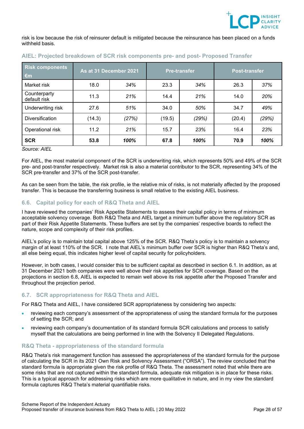

risk is low because the risk of reinsurer default is mitigated because the reinsurance has been placed on a funds withheld basis.

| <b>Risk components</b><br>$\epsilon$ m |        | As at 31 December 2021<br><b>Post-transfer</b><br><b>Pre-transfer</b> |        |       |        |       |
|----------------------------------------|--------|-----------------------------------------------------------------------|--------|-------|--------|-------|
| Market risk                            | 18.0   | 34%                                                                   | 23.3   | 34%   | 26.3   | 37%   |
| Counterparty<br>default risk           | 11.3   | 21%                                                                   | 14.4   | 21%   | 14.0   | 20%   |
| Underwriting risk                      | 27.6   | 51%                                                                   | 34.0   | 50%   | 34.7   | 49%   |
| <b>Diversification</b>                 | (14.3) | (27%)                                                                 | (19.5) | (29%) | (20.4) | (29%) |
| Operational risk                       | 11.2   | 21%                                                                   | 15.7   | 23%   | 16.4   | 23%   |
| <b>SCR</b>                             | 53.8   | 100%                                                                  | 67.8   | 100%  | 70.9   | 100%  |

# **AIEL: Projected breakdown of SCR risk components pre- and post- Proposed Transfer**

*Source: AIEL*

For AIEL, the most material component of the SCR is underwriting risk, which represents 50% and 49% of the SCR pre- and post-transfer respectively. Market risk is also a material contributor to the SCR, representing 34% of the SCR pre-transfer and 37% of the SCR post-transfer.

As can be seen from the table, the risk profile, ie the relative mix of risks, is not materially affected by the proposed transfer. This is because the transferring business is small relative to the existing AIEL business.

# <span id="page-27-0"></span>**6.6. Capital policy for each of R&Q Theta and AIEL**

I have reviewed the companies' Risk Appetite Statements to assess their capital policy in terms of minimum acceptable solvency coverage. Both R&Q Theta and AIEL target a minimum buffer above the regulatory SCR as part of their Risk Appetite Statements. These buffers are set by the companies' respective boards to reflect the nature, scope and complexity of their risk profiles.

AIEL's policy is to maintain total capital above 125% of the SCR. R&Q Theta's policy is to maintain a solvency margin of at least 110% of the SCR. I note that AIEL's minimum buffer over SCR is higher than R&Q Theta's and, all else being equal, this indicates higher level of capital security for policyholders.

However, in both cases, I would consider this to be sufficient capital as described in section 6.1. In addition, as at 31 December 2021 both companies were well above their risk appetites for SCR coverage. Based on the projections in section [6.8,](#page-29-0) AIEL is expected to remain well above its risk appetite after the Proposed Transfer and throughout the projection period.

# <span id="page-27-1"></span>**6.7. SCR appropriateness for R&Q Theta and AIEL**

For R&Q Theta and AIEL, I have considered SCR appropriateness by considering two aspects:

- reviewing each company's assessment of the appropriateness of using the standard formula for the purposes of setting the SCR; and
- reviewing each company's documentation of its standard formula SCR calculations and process to satisfy myself that the calculations are being performed in line with the Solvency II Delegated Regulations.

# **R&Q Theta - appropriateness of the standard formula**

R&Q Theta's risk management function has assessed the appropriateness of the standard formula for the purpose of calculating the SCR in its 2021 Own Risk and Solvency Assessment ("ORSA"). The review concluded that the standard formula is appropriate given the risk profile of R&Q Theta. The assessment noted that while there are some risks that are not captured within the standard formula, adequate risk mitigation is in place for these risks. This is a typical approach for addressing risks which are more qualitative in nature, and in my view the standard formula captures R&Q Theta's material quantifiable risks.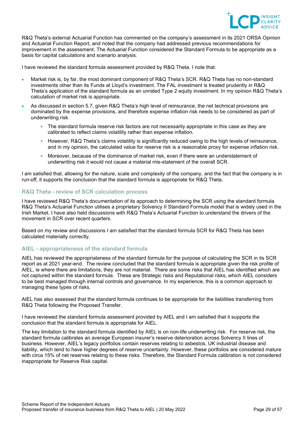

R&Q Theta's external Actuarial Function has commented on the company's assessment in its 2021 ORSA Opinion and Actuarial Function Report, and noted that the company had addressed previous recommendations for improvement in the assessment. The Actuarial Function considered the Standard Formula to be appropriate as a basis for capital calculations and scenario analysis.

I have reviewed the standard formula assessment provided by R&Q Theta. I note that:

- Market risk is, by far, the most dominant component of R&Q Theta's SCR. R&Q Theta has no non-standard investments other than its Funds at Lloyd's investment. The FAL investment is treated prudently in R&Q Theta's application of the standard formula as an unrated Type 2 equity investment. In my opinion R&Q Theta's calculation of market risk is appropriate.
- As discussed in section 5.7, given R&Q Theta's high level of reinsurance, the net technical provisions are dominated by the expense provisions, and therefore expense inflation risk needs to be considered as part of underwriting risk.
	- The standard formula reserve risk factors are not necessarily appropriate in this case as they are calibrated to reflect claims volatility rather than expense inflation.
	- However, R&Q Theta's claims volatility is significantly reduced owing to the high levels of reinsurance, and in my opinion, the calculated value for reserve risk is a reasonable proxy for expense inflation risk.
	- Moreover, because of the dominance of market risk, even if there were an understatement of underwriting risk it would not cause a material mis-statement of the overall SCR.

I am satisfied that, allowing for the nature, scale and complexity of the company, and the fact that the company is in run-off, it supports the conclusion that the standard formula is appropriate for R&Q Theta.

# **R&Q Theta - review of SCR calculation process**

I have reviewed R&Q Theta's documentation of its approach to determining the SCR using the standard formula. R&Q Theta's Actuarial Function utilises a proprietary Solvency II Standard Formula model that is widely used in the Irish Market. I have also held discussions with R&Q Theta's Actuarial Function to understand the drivers of the movement in SCR over recent quarters.

Based on my review and discussions I am satisfied that the standard formula SCR for R&Q Theta has been calculated materially correctly.

# **AIEL - appropriateness of the standard formula**

AIEL has reviewed the appropriateness of the standard formula for the purpose of calculating the SCR in its SCR report as at 2021 year-end. The review concluded that the standard formula is appropriate given the risk profile of AIEL, ie where there are limitations, they are not material. There are some risks that AIEL has identified which are not captured within the standard formula. These are Strategic risks and Reputational risks, which AIEL considers to be best managed through internal controls and governance. In my experience, this is a common approach to managing these types of risks.

AIEL has also assessed that the standard formula continues to be appropriate for the liabilities transferring from R&Q Theta following the Proposed Transfer.

I have reviewed the standard formula assessment provided by AIEL and I am satisfied that it supports the conclusion that the standard formula is appropriate for AIEL.

The key limitation to the standard formula identified by AIEL is on non-life underwriting risk. For reserve risk, the standard formula calibrates an average European insurer's reserve deterioration across Solvency II lines of business. However, AIEL's legacy portfolios contain reserves relating to asbestos, UK industrial disease and liability, which tend to have higher degrees of reserve uncertainty. However, these portfolios are considered mature with circa 15% of net reserves relating to these risks. Therefore, the Standard Formula calibration is not considered inappropriate for Reserve Risk capital.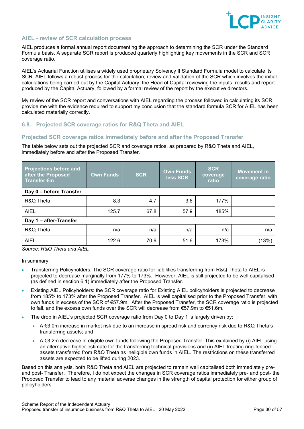

# **AIEL - review of SCR calculation process**

AIEL produces a formal annual report documenting the approach to determining the SCR under the Standard Formula basis. A separate SCR report is produced quarterly highlighting key movements in the SCR and SCR coverage ratio.

AIEL's Actuarial Function utilises a widely used proprietary Solvency II Standard Formula model to calculate its SCR. AIEL follows a robust process for the calculation, review and validation of the SCR which involves the initial calculations being carried out by the Capital Actuary, the Head of Capital reviewing the inputs, results and report produced by the Capital Actuary, followed by a formal review of the report by the executive directors.

My review of the SCR report and conversations with AIEL regarding the process followed in calculating its SCR, provide me with the evidence required to support my conclusion that the standard formula SCR for AIEL has been calculated materially correctly.

# <span id="page-29-0"></span>**6.8. Projected SCR coverage ratios for R&Q Theta and AIEL**

## **Projected SCR coverage ratios immediately before and after the Proposed Transfer**

The table below sets out the projected SCR and coverage ratios, as prepared by R&Q Theta and AIEL, immediately before and after the Proposed Transfer.

| <b>Projections before and</b><br>after the Proposed<br>Transfer €m | <b>Own Funds</b> | <b>SCR</b> | <b>Own Funds</b><br>less SCR | <b>SCR</b><br>coverage<br>ratio | <b>Movement in</b><br>coverage ratio |  |
|--------------------------------------------------------------------|------------------|------------|------------------------------|---------------------------------|--------------------------------------|--|
| Day 0 - before Transfer                                            |                  |            |                              |                                 |                                      |  |
| R&Q Theta                                                          | 8.3              | 4.7        | 3.6                          | 177%                            |                                      |  |
| <b>AIEL</b>                                                        | 125.7            | 67.8       | 57.9                         | 185%                            |                                      |  |
| Day 1 - after-Transfer                                             |                  |            |                              |                                 |                                      |  |
| R&Q Theta                                                          | n/a              | n/a        | n/a                          | n/a                             | n/a                                  |  |
| <b>AIEL</b>                                                        | 122.6            | 70.9       | 51.6                         | 173%                            | (13%)                                |  |

*Source: R&Q Theta and AIEL*

In summary:

- Transferring Policyholders: The SCR coverage ratio for liabilities transferring from R&Q Theta to AIEL is projected to decrease marginally from 177% to 173%. However, AIEL is still projected to be well capitalised (as defined in section [6.1\)](#page-24-1) immediately after the Proposed Transfer.
- Existing AIEL Policyholders: the SCR coverage ratio for Existing AIEL policyholders is projected to decrease from 185% to 173% after the Proposed Transfer. AIEL is well capitalised prior to the Proposed Transfer, with own funds in excess of the SCR of €57.9m. After the Proposed Transfer, the SCR coverage ratio is projected to fall, and the excess own funds over the SCR will decrease from €57.9m to €51.6m.
- The drop in AIEL's projected SCR coverage ratio from Day 0 to Day 1 is largely driven by:
	- A €3.0m increase in market risk due to an increase in spread risk and currency risk due to R&Q Theta's transferring assets; and
	- A €3.2m decrease in eligible own funds following the Proposed Transfer. This explained by (i) AIEL using an alternative higher estimate for the transferring technical provisions and (ii) AIEL treating ring-fenced assets transferred from R&Q Theta as ineligible own funds in AIEL. The restrictions on these transferred assets are expected to be lifted during 2023.

Based on this analysis, both R&Q Theta and AIEL are projected to remain well capitalised both immediately preand post- Transfer. Therefore, I do not expect the changes in SCR coverage ratios immediately pre- and post- the Proposed Transfer to lead to any material adverse changes in the strength of capital protection for either group of policyholders.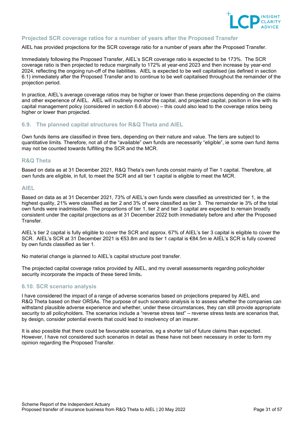

# **Projected SCR coverage ratios for a number of years after the Proposed Transfer**

AIEL has provided projections for the SCR coverage ratio for a number of years after the Proposed Transfer.

Immediately following the Proposed Transfer, AIEL's SCR coverage ratio is expected to be 173%. The SCR coverage ratio is then projected to reduce marginally to 172% at year-end 2023 and then increase by year-end 2024, reflecting the ongoing run-off of the liabilities. AIEL is expected to be well capitalised (as defined in section [6.1\)](#page-24-1) immediately after the Proposed Transfer and to continue to be well capitalised throughout the remainder of the projection period.

In practice, AIEL's average coverage ratios may be higher or lower than these projections depending on the claims and other experience of AIEL. AIEL will routinely monitor the capital, and projected capital, position in line with its capital management policy (considered in section [6.6](#page-27-0) above) – this could also lead to the coverage ratios being higher or lower than projected.

## <span id="page-30-0"></span>**6.9. The planned capital structures for R&Q Theta and AIEL**

Own funds items are classified in three tiers, depending on their nature and value. The tiers are subject to quantitative limits. Therefore, not all of the "available" own funds are necessarily "eligible", ie some own fund items may not be counted towards fulfilling the SCR and the MCR.

#### **R&Q Theta**

Based on data as at 31 December 2021, R&Q Theta's own funds consist mainly of Tier 1 capital. Therefore, all own funds are eligible, in full, to meet the SCR and all tier 1 capital is eligible to meet the MCR.

## **AIEL**

Based on data as at 31 December 2021, 73% of AIEL's own funds were classified as unrestricted tier 1, ie the highest quality, 21% were classified as tier 2 and 3% of were classified as tier 3. The remainder ie 3% of the total own funds were inadmissible. The proportions of tier 1, tier 2 and tier 3 capital are expected to remain broadly consistent under the capital projections as at 31 December 2022 both immediately before and after the Proposed Transfer.

AIEL's tier 2 capital is fully eligible to cover the SCR and approx. 67% of AIEL's tier 3 capital is eligible to cover the SCR. AIEL's SCR at 31 December 2021 is €53.8m and its tier 1 capital is €84.5m ie AIEL's SCR is fully covered by own funds classified as tier 1.

No material change is planned to AIEL's capital structure post transfer.

<span id="page-30-2"></span>The projected capital coverage ratios provided by AIEL, and my overall assessments regarding policyholder security incorporate the impacts of these tiered limits**.**

# <span id="page-30-1"></span>**6.10. SCR scenario analysis**

I have considered the impact of a range of adverse scenarios based on projections prepared by AIEL and R&Q Theta based on their ORSAs. The purpose of such scenario analysis is to assess whether the companies can withstand plausible adverse experience and whether, under these circumstances, they can still provide appropriate security to all policyholders. The scenarios include a "reverse stress test" – reverse stress tests are scenarios that, by design, consider potential events that could lead to insolvency of an insurer.

It is also possible that there could be favourable scenarios, eg a shorter tail of future claims than expected. However, I have not considered such scenarios in detail as these have not been necessary in order to form my opinion regarding the Proposed Transfer.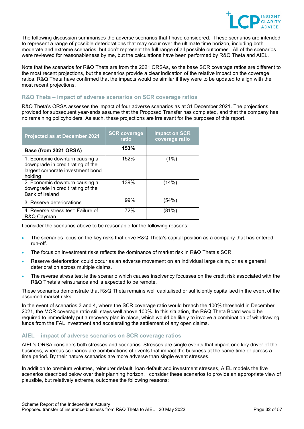

The following discussion summarises the adverse scenarios that I have considered. These scenarios are intended to represent a range of possible deteriorations that may occur over the ultimate time horizon, including both moderate and extreme scenarios, but don't represent the full range of all possible outcomes. All of the scenarios were reviewed for reasonableness by me, but the calculations have been performed by R&Q Theta and AIEL.

Note that the scenarios for R&Q Theta are from the 2021 ORSAs, so the base SCR coverage ratios are different to the most recent projections, but the scenarios provide a clear indication of the relative impact on the coverage ratios. R&Q Theta have confirmed that the impacts would be similar if they were to be updated to align with the most recent projections.

# **R&Q Theta – impact of adverse scenarios on SCR coverage ratios**

R&Q Theta's ORSA assesses the impact of four adverse scenarios as at 31 December 2021. The projections provided for subsequent year-ends assume that the Proposed Transfer has completed, and that the company has no remaining policyholders. As such, these projections are irrelevant for the purposes of this report.

| Projected as at December 2021                                                                                       | <b>SCR coverage</b><br>ratio | <b>Impact on SCR</b><br>coverage ratio |
|---------------------------------------------------------------------------------------------------------------------|------------------------------|----------------------------------------|
| Base (from 2021 ORSA)                                                                                               | 153%                         |                                        |
| 1. Economic downturn causing a<br>downgrade in credit rating of the<br>largest corporate investment bond<br>holding | 152%                         | (1%)                                   |
| 2. Economic downturn causing a<br>downgrade in credit rating of the<br><b>Bank of Ireland</b>                       | 139%                         | (14%)                                  |
| 3. Reserve deteriorations                                                                                           | 99%                          | (54%)                                  |
| 4. Reverse stress test: Failure of<br>R&Q Cayman                                                                    | 72%                          | (81%)                                  |

I consider the scenarios above to be reasonable for the following reasons:

- The scenarios focus on the key risks that drive R&Q Theta's capital position as a company that has entered run-off.
- The focus on investment risks reflects the dominance of market risk in R&Q Theta's SCR.
- Reserve deterioration could occur as an adverse movement on an individual large claim, or as a general deterioration across multiple claims.
- The reverse stress test ie the scenario which causes insolvency focusses on the credit risk associated with the R&Q Theta's reinsurance and is expected to be remote.

These scenarios demonstrate that R&Q Theta remains well capitalised or sufficiently capitalised in the event of the assumed market risks.

In the event of scenarios 3 and 4, where the SCR coverage ratio would breach the 100% threshold in December 2021, the MCR coverage ratio still stays well above 100%. In this situation, the R&Q Theta Board would be required to immediately put a recovery plan in place, which would be likely to involve a combination of withdrawing funds from the FAL investment and accelerating the settlement of any open claims.

# **AIEL – impact of adverse scenarios on SCR coverage ratios**

AIEL's ORSA considers both stresses and scenarios. Stresses are single events that impact one key driver of the business, whereas scenarios are combinations of events that impact the business at the same time or across a time period. By their nature scenarios are more adverse than single event stresses.

In addition to premium volumes, reinsurer default, loan default and investment stresses, AIEL models the five scenarios described below over their planning horizon. I consider these scenarios to provide an appropriate view of plausible, but relatively extreme, outcomes the following reasons: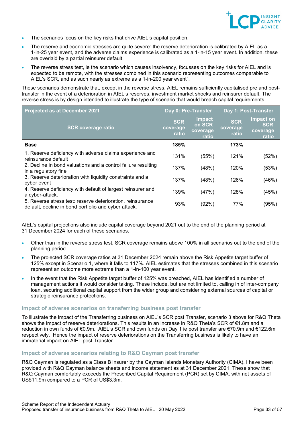

- The scenarios focus on the key risks that drive AIEL's capital position.
- The reserve and economic stresses are quite severe: the reserve deterioration is calibrated by AIEL as a 1-in-25 year event, and the adverse claims experience is calibrated as a 1-in-15 year event. In addition, these are overlaid by a partial reinsurer default.
- The reverse stress test, ie the scenario which causes insolvency, focusses on the key risks for AIEL and is expected to be remote, with the stresses combined in this scenario representing outcomes comparable to AIEL's SCR, and as such nearly as extreme as a 1-in-200 year event".

These scenarios demonstrate that, except in the reverse stress, AIEL remains sufficiently capitalised pre and posttransfer in the event of a deterioration in AIEL's reserves, investment market shocks and reinsurer default. The reverse stress is by design intended to illustrate the type of scenario that would breach capital requirements.

| <b>Projected as at December 2021</b>                                                                               | Day 0: Pre-Transfer             |                                       | Day 1: Post-Transfer            |                                              |
|--------------------------------------------------------------------------------------------------------------------|---------------------------------|---------------------------------------|---------------------------------|----------------------------------------------|
| <b>SCR coverage ratio</b>                                                                                          | <b>SCR</b><br>coverage<br>ratio | Impact<br>on SCR<br>coverage<br>ratio | <b>SCR</b><br>coverage<br>ratio | Impact on<br><b>SCR</b><br>coverage<br>ratio |
| <b>Base</b>                                                                                                        | 185%                            |                                       | 173%                            |                                              |
| 1. Reserve deficiency with adverse claims experience and<br>reinsurance default                                    | 131%                            | (55%)                                 | 121%                            | (52%)                                        |
| 2. Decline in bond valuations and a control failure resulting<br>in a regulatory fine                              | 137%                            | (48%)                                 | 120%                            | (53%)                                        |
| 3. Reserve deterioration with liquidity constraints and a<br>cyber event                                           | 137%                            | (48%)                                 | 126%                            | (46%)                                        |
| 4. Reserve deficiency with default of largest reinsurer and<br>a cyber-attack.                                     | 139%                            | (47%)                                 | 128%                            | (45%)                                        |
| 5. Reverse stress test: reserve deterioration, reinsurance<br>default, decline in bond portfolio and cyber attack. | 93%                             | (92%)                                 | 77%                             | (95%)                                        |

AIEL's capital projections also include capital coverage beyond 2021 out to the end of the planning period at 31 December 2024 for each of these scenarios.

- Other than in the reverse stress test, SCR coverage remains above 100% in all scenarios out to the end of the planning period.
- The projected SCR coverage ratios at 31 December 2024 remain above the Risk Appetite target buffer of 125% except in Scenario 1, where it falls to 117%. AIEL estimates that the stresses combined in this scenario represent an outcome more extreme than a 1-in-100 year event.
- In the event that the Risk Appetite target buffer of 125% was breached, AIEL has identified a number of management actions it would consider taking. These include, but are not limited to, calling in of inter-company loan, securing additional capital support from the wider group and considering external sources of capital or strategic reinsurance protections.

#### **Impact of adverse scenarios on transferring business post transfer**

To illustrate the impact of the Transferring business on AIEL's SCR post Transfer, scenario 3 above for R&Q Theta shows the impact of reserve deteriorations. This results in an increase in R&Q Theta's SCR of €1.8m and a reduction in own funds of €0.9m. AIEL's SCR and own funds on Day 1 ie post transfer are €70.9m and €122.6m respectively. Hence the impact of reserve deteriorations on the Transferring business is likely to have an immaterial impact on AIEL post Transfer.

#### **Impact of adverse scenarios relating to R&Q Cayman post transfer**

R&Q Cayman is regulated as a Class B insurer by the Cayman Islands Monetary Authority (CIMA). I have been provided with R&Q Cayman balance sheets and income statement as at 31 December 2021. These show that R&Q Cayman comfortably exceeds the Prescribed Capital Requirement (PCR) set by CIMA, with net assets of US\$11.9m compared to a PCR of US\$3.3m.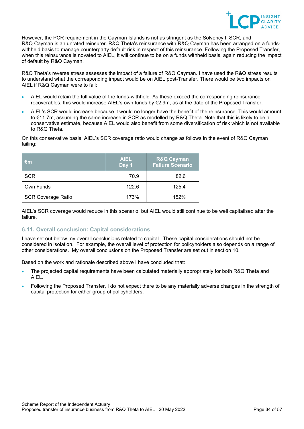

However, the PCR requirement in the Cayman Islands is not as stringent as the Solvency II SCR, and R&Q Cayman is an unrated reinsurer. R&Q Theta's reinsurance with R&Q Cayman has been arranged on a fundswithheld basis to manage counterparty default risk in respect of this reinsurance. Following the Proposed Transfer, when this reinsurance is novated to AIEL, it will continue to be on a funds withheld basis, again reducing the impact of default by R&Q Cayman.

R&Q Theta's reverse stress assesses the impact of a failure of R&Q Cayman. I have used the R&Q stress results to understand what the corresponding impact would be on AIEL post-Transfer. There would be two impacts on AIEL if R&Q Cayman were to fail:

- AIEL would retain the full value of the funds-withheld. As these exceed the corresponding reinsurance recoverables, this would increase AIEL's own funds by €2.9m, as at the date of the Proposed Transfer.
- AIEL's SCR would increase because it would no longer have the benefit of the reinsurance. This would amount to €11.7m, assuming the same increase in SCR as modelled by R&Q Theta. Note that this is likely to be a conservative estimate, because AIEL would also benefit from some diversification of risk which is not available to R&Q Theta.

On this conservative basis, AIEL's SCR coverage ratio would change as follows in the event of R&Q Cayman failing:

| $\epsilon$ m              | <b>AIEL</b><br>Day 1 | <b>R&amp;Q Cayman</b><br><b>Failure Scenario</b> |
|---------------------------|----------------------|--------------------------------------------------|
| <b>SCR</b>                | 70.9                 | 82.6                                             |
| Own Funds                 | 122.6                | 125.4                                            |
| <b>SCR Coverage Ratio</b> | 173%                 | 152%                                             |

AIEL's SCR coverage would reduce in this scenario, but AIEL would still continue to be well capitalised after the failure.

# <span id="page-33-0"></span>**6.11. Overall conclusion: Capital considerations**

I have set out below my overall conclusions related to capital. These capital considerations should not be considered in isolation. For example, the overall level of protection for policyholders also depends on a range of other considerations. My overall conclusions on the Proposed Transfer are set out in section [10.](#page-44-0)

Based on the work and rationale described above I have concluded that:

- The projected capital requirements have been calculated materially appropriately for both R&Q Theta and AIEL.
- Following the Proposed Transfer, I do not expect there to be any materially adverse changes in the strength of capital protection for either group of policyholders.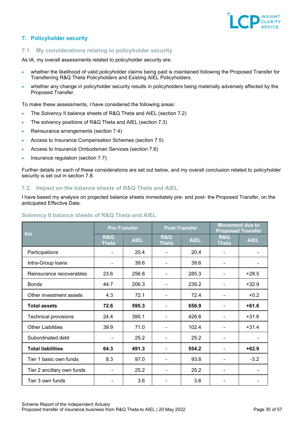

# <span id="page-34-0"></span>**7. Policyholder security**

# <span id="page-34-1"></span>**7.1. My considerations relating to policyholder security**

As IA, my overall assessments related to policyholder security are:

- whether the likelihood of valid policyholder claims being paid is maintained following the Proposed Transfer for Transferring R&Q Theta Policyholders and Existing AIEL Policyholders.
- whether any change in policyholder security results in policyholders being materially adversely affected by the Proposed Transfer.

To make these assessments, I have considered the following areas:

- The Solvency II balance sheets of R&Q Theta and AIEL (section [7.2\)](#page-34-2)
- The solvency positions of R&Q Theta and AIEL (section [7.3\)](#page-36-0)
- Reinsurance arrangements (section [7.4\)](#page-37-0)
- Access to Insurance Compensation Schemes (section [7.5\)](#page-37-1)
- Access to Insurance Ombudsman Services (section [7.6\)](#page-37-2)
- Insurance regulation (section 7.7)

Further details on each of these considerations are set out below, and my overall conclusion related to policyholder security is set out in section 7.8.

# <span id="page-34-2"></span>**7.2. Impact on the balance sheets of R&Q Theta and AIEL**

I have based my analysis on projected balance sheets immediately pre- and post- the Proposed Transfer, on the anticipated Effective Date.

| Solvency II balance sheets of R&Q Theta and AIEL |  |  |  |  |  |
|--------------------------------------------------|--|--|--|--|--|
|--------------------------------------------------|--|--|--|--|--|

|                             | <b>Pre-Transfer</b>            |             | <b>Post-Transfer</b>           |             | <b>Movement due to</b><br><b>Proposed Transfer</b> |             |
|-----------------------------|--------------------------------|-------------|--------------------------------|-------------|----------------------------------------------------|-------------|
| €m                          | <b>R&amp;Q</b><br><b>Theta</b> | <b>AIEL</b> | <b>R&amp;Q</b><br><b>Theta</b> | <b>AIEL</b> | <b>R&amp;Q</b><br><b>Theta</b>                     | <b>AIEL</b> |
| Participations              |                                | 20.4        |                                | 20.4        | -                                                  |             |
| Intra-Group loans           | ۰                              | 39.6        | ۰                              | 39.6        | $\overline{a}$                                     |             |
| Reinsurance recoverables    | 23.6                           | 256.8       |                                | 285.3       |                                                    | $+28.5$     |
| <b>Bonds</b>                | 44.7                           | 206.3       |                                | 239.2       |                                                    | $+32.9$     |
| Other investment assets     | 4.3                            | 72.1        |                                | 72.4        |                                                    | $+0.2$      |
| <b>Total assets</b>         | 72.6                           | 595.3       |                                | 656.9       |                                                    | $+61.6$     |
| <b>Technical provisions</b> | 24.4                           | 395.1       |                                | 426.6       |                                                    | $+31.6$     |
| <b>Other Liabilities</b>    | 39.9                           | 71.0        |                                | 102.4       |                                                    | $+31.4$     |
| Subordinated debt           |                                | 25.2        |                                | 25.2        |                                                    |             |
| <b>Total liabilities</b>    | 64.3                           | 491.3       |                                | 554.2       |                                                    | $+62.9$     |
| Tier 1 basic own funds      | 8.3                            | 97.0        |                                | 93.8        |                                                    | $-3.2$      |
| Tier 2 ancillary own funds  | ۰                              | 25.2        |                                | 25.2        | -                                                  |             |
| Tier 3 own funds            |                                | 3.6         |                                | 3.6         |                                                    |             |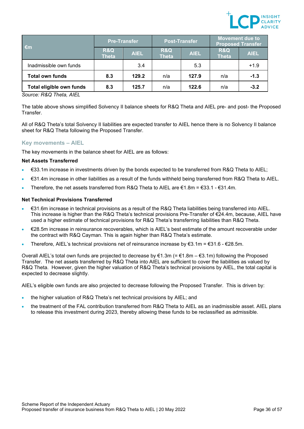

| $\epsilon$ m             | <b>Pre-Transfer</b>            |             | <b>Post-Transfer</b>           |             | <b>Movement due to</b><br><b>Proposed Transfer</b> |             |
|--------------------------|--------------------------------|-------------|--------------------------------|-------------|----------------------------------------------------|-------------|
|                          | <b>R&amp;Q</b><br><b>Theta</b> | <b>AIEL</b> | <b>R&amp;Q</b><br><b>Theta</b> | <b>AIEL</b> | <b>R&amp;Q</b><br><b>Theta</b>                     | <b>AIEL</b> |
| Inadmissible own funds   |                                | 3.4         |                                | 5.3         |                                                    | $+1.9$      |
| <b>Total own funds</b>   | 8.3                            | 129.2       | n/a                            | 127.9       | n/a                                                | $-1.3$      |
| Total eligible own funds | 8.3                            | 125.7       | n/a                            | 122.6       | n/a                                                | $-3.2$      |

*Source: R&Q Theta, AIEL*

The table above shows simplified Solvency II balance sheets for R&Q Theta and AIEL pre- and post- the Proposed Transfer.

All of R&Q Theta's total Solvency II liabilities are expected transfer to AIEL hence there is no Solvency II balance sheet for R&Q Theta following the Proposed Transfer.

# **Key movements – AIEL**

The key movements in the balance sheet for AIEL are as follows:

#### **Net Assets Transferred**

- €33.1m increase in investments driven by the bonds expected to be transferred from R&Q Theta to AIEL;
- €31.4m increase in other liabilities as a result of the funds withheld being transferred from R&Q Theta to AIEL.
- Therefore, the net assets transferred from R&Q Theta to AIEL are  $\epsilon$ 1.8m =  $\epsilon$ 33.1  $\epsilon$ 31.4m.

## **Net Technical Provisions Transferred**

- €31.6m increase in technical provisions as a result of the R&Q Theta liabilities being transferred into AIEL. This increase is higher than the R&Q Theta's technical provisions Pre-Transfer of €24.4m, because, AIEL have used a higher estimate of technical provisions for R&Q Theta's transferring liabilities than R&Q Theta.
- €28.5m increase in reinsurance recoverables, which is AIEL's best estimate of the amount recoverable under the contract with R&Q Cayman. This is again higher than R&Q Theta's estimate.
- Therefore, AIEL's technical provisions net of reinsurance increase by  $\epsilon$ 3.1m =  $\epsilon$ 31.6  $\epsilon$ 28.5m.

Overall AIEL's total own funds are projected to decrease by €1.3m (= €1.8m – €3.1m) following the Proposed Transfer. The net assets transferred by R&Q Theta into AIEL are sufficient to cover the liabilities as valued by R&Q Theta. However, given the higher valuation of R&Q Theta's technical provisions by AIEL, the total capital is expected to decrease slightly.

AIEL's eligible own funds are also projected to decrease following the Proposed Transfer. This is driven by:

- the higher valuation of R&Q Theta's net technical provisions by AIEL; and
- the treatment of the FAL contribution transferred from R&Q Theta to AIEL as an inadmissible asset. AIEL plans to release this investment during 2023, thereby allowing these funds to be reclassified as admissible.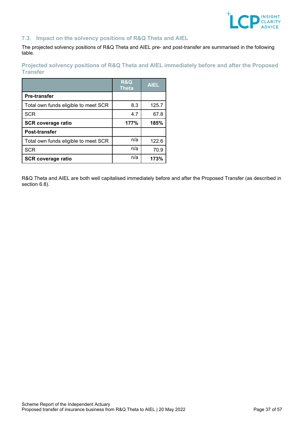

# <span id="page-36-0"></span>**7.3. Impact on the solvency positions of R&Q Theta and AIEL**

The projected solvency positions of R&Q Theta and AIEL pre- and post-transfer are summarised in the following table.

**Projected solvency positions of R&Q Theta and AIEL immediately before and after the Proposed Transfer**

|                                      | <b>R&amp;Q</b><br>Theta | <b>AIEL</b> |
|--------------------------------------|-------------------------|-------------|
| <b>Pre-transfer</b>                  |                         |             |
| Total own funds eligible to meet SCR | 8.3                     | 125.7       |
| <b>SCR</b>                           | 4.7                     | 67.8        |
| <b>SCR coverage ratio</b>            | 177%                    | 185%        |
| Post-transfer                        |                         |             |
| Total own funds eligible to meet SCR | n/a                     | 122.6       |
| <b>SCR</b>                           | n/a                     | 70.9        |
| <b>SCR coverage ratio</b>            | n/a                     | 173%        |

R&Q Theta and AIEL are both well capitalised immediately before and after the Proposed Transfer (as described in section [6.8\)](#page-29-0).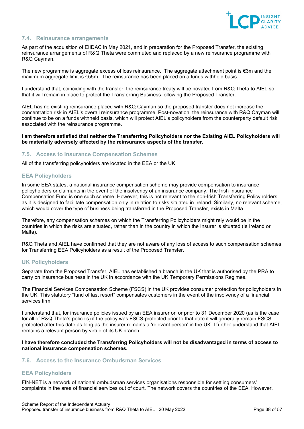

# <span id="page-37-0"></span>**7.4. Reinsurance arrangements**

As part of the acquisition of EIIDAC in May 2021, and in preparation for the Proposed Transfer, the existing reinsurance arrangements of R&Q Theta were commuted and replaced by a new reinsurance programme with R&Q Cayman.

The new programme is aggregate excess of loss reinsurance. The aggregate attachment point is €3m and the maximum aggregate limit is €55m. The reinsurance has been placed on a funds withheld basis.

I understand that, coinciding with the transfer, the reinsurance treaty will be novated from R&Q Theta to AIEL so that it will remain in place to protect the Transferring Business following the Proposed Transfer.

AIEL has no existing reinsurance placed with R&Q Cayman so the proposed transfer does not increase the concentration risk in AIEL's overall reinsurance programme. Post-novation, the reinsurance with R&Q Cayman will continue to be on a funds withheld basis, which will protect AIEL's policyholders from the counterparty default risk associated with the reinsurance programme.

#### **I am therefore satisfied that neither the Transferring Policyholders nor the Existing AIEL Policyholders will be materially adversely affected by the reinsurance aspects of the transfer.**

## <span id="page-37-1"></span>**7.5. Access to Insurance Compensation Schemes**

All of the transferring policyholders are located in the EEA or the UK.

# **EEA Policyholders**

In some EEA states, a national insurance compensation scheme may provide compensation to insurance policyholders or claimants in the event of the insolvency of an insurance company. The Irish Insurance Compensation Fund is one such scheme. However, this is not relevant to the non-Irish Transferring Policyholders as it is designed to facilitate compensation only in relation to risks situated in Ireland. Similarly, no relevant scheme, which would cover the type of business being transferred in the Proposed Transfer, exists in Malta.

Therefore, any compensation schemes on which the Transferring Policyholders might rely would be in the countries in which the risks are situated, rather than in the country in which the Insurer is situated (ie Ireland or Malta).

R&Q Theta and AIEL have confirmed that they are not aware of any loss of access to such compensation schemes for Transferring EEA Policyholders as a result of the Proposed Transfer.

# **UK Policyholders**

Separate from the Proposed Transfer, AIEL has established a branch in the UK that is authorised by the PRA to carry on insurance business in the UK in accordance with the UK Temporary Permissions Regimes.

The Financial Services Compensation Scheme (FSCS) in the UK provides consumer protection for policyholders in the UK. This statutory "fund of last resort" compensates customers in the event of the insolvency of a financial services firm.

I understand that, for insurance policies issued by an EEA insurer on or prior to 31 December 2020 (as is the case for all of R&Q Theta's policies) if the policy was FSCS-protected prior to that date it will generally remain FSCS protected after this date as long as the insurer remains a 'relevant person' in the UK. I further understand that AIEL remains a relevant person by virtue of its UK branch.

## **I have therefore concluded the Transferring Policyholders will not be disadvantaged in terms of access to national insurance compensation schemes.**

### <span id="page-37-2"></span>**7.6. Access to the Insurance Ombudsman Services**

# **EEA Policyholders**

FIN-NET is a network of national ombudsman services organisations responsible for settling consumers' complaints in the area of financial services out of court. The network covers the countries of the EEA. However,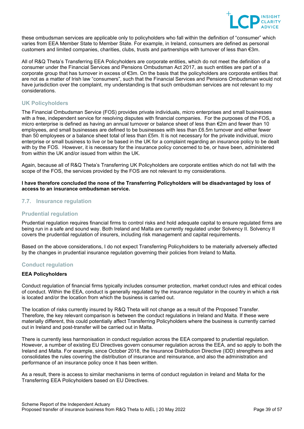

these ombudsman services are applicable only to policyholders who fall within the definition of "consumer" which varies from EEA Member State to Member State. For example, in Ireland, consumers are defined as personal customers and limited companies, charities, clubs, trusts and partnerships with turnover of less than  $\epsilon$ 3m.

All of R&Q Theta's Transferring EEA Policyholders are corporate entities, which do not meet the definition of a consumer under the Financial Services and Pensions Ombudsman Act 2017, as such entities are part of a corporate group that has turnover in excess of €3m. On the basis that the policyholders are corporate entities that are not as a matter of Irish law "consumers", such that the Financial Services and Pensions Ombudsman would not have jurisdiction over the complaint, my understanding is that such ombudsman services are not relevant to my considerations.

# **UK Policyholders**

The Financial Ombudsman Service (FOS) provides private individuals, micro enterprises and small businesses with a free, independent service for resolving disputes with financial companies. For the purposes of the FOS, a micro enterprise is defined as having an annual turnover or balance sheet of less than €2m and fewer than 10 employees, and small businesses are defined to be businesses with less than £6.5m turnover and either fewer than 50 employees or a balance sheet total of less than £5m. It is not necessary for the private individual, micro enterprise or small business to live or be based in the UK for a complaint regarding an insurance policy to be dealt with by the FOS. However, it is necessary for the insurance policy concerned to be, or have been, administered from within the UK and/or issued from within the UK.

Again, because all of R&Q Theta's Transferring UK Policyholders are corporate entities which do not fall with the scope of the FOS, the services provided by the FOS are not relevant to my considerations.

**I have therefore concluded the none of the Transferring Policyholders will be disadvantaged by loss of access to an insurance ombudsman service.**

# <span id="page-38-0"></span>**7.7. Insurance regulation**

## **Prudential regulation**

Prudential regulation requires financial firms to control risks and hold adequate capital to ensure regulated firms are being run in a safe and sound way. Both Ireland and Malta are currently regulated under Solvency II. Solvency II covers the prudential regulation of insurers, including risk management and capital requirements.

Based on the above considerations, I do not expect Transferring Policyholders to be materially adversely affected by the changes in prudential insurance regulation governing their policies from Ireland to Malta.

# **Conduct regulation**

## **EEA Policyholders**

Conduct regulation of financial firms typically includes consumer protection, market conduct rules and ethical codes of conduct. Within the EEA, conduct is generally regulated by the insurance regulator in the country in which a risk is located and/or the location from which the business is carried out.

The location of risks currently insured by R&Q Theta will not change as a result of the Proposed Transfer. Therefore, the key relevant comparison is between the conduct regulations in Ireland and Malta. If these were materially different, this could potentially affect Transferring Policyholders where the business is currently carried out in Ireland and post-transfer will be carried out in Malta.

There is currently less harmonisation in conduct regulation across the EEA compared to prudential regulation. However, a number of existing EU Directives govern consumer regulation across the EEA, and so apply to both the Ireland and Malta. For example, since October 2018, the Insurance Distribution Directive (IDD) strengthens and consolidates the rules covering the distribution of insurance and reinsurance, and also the administration and performance of an insurance policy once it has been written.

As a result, there is access to similar mechanisms in terms of conduct regulation in Ireland and Malta for the Transferring EEA Policyholders based on EU Directives.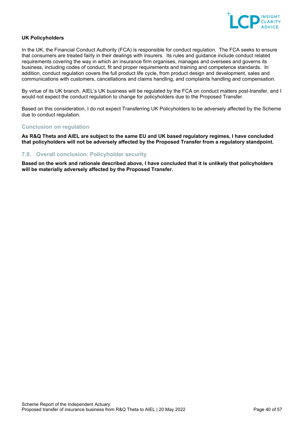

## **UK Policyholders**

In the UK, the Financial Conduct Authority (FCA) is responsible for conduct regulation. The FCA seeks to ensure that consumers are treated fairly in their dealings with insurers. Its rules and guidance include conduct related requirements covering the way in which an insurance firm organises, manages and oversees and governs its business, including codes of conduct, fit and proper requirements and training and competence standards. In addition, conduct regulation covers the full product life cycle, from product design and development, sales and communications with customers, cancellations and claims handling, and complaints handling and compensation.

By virtue of its UK branch, AIEL's UK business will be regulated by the FCA on conduct matters post-transfer, and I would not expect the conduct regulation to change for policyholders due to the Proposed Transfer.

Based on this consideration, I do not expect Transferring UK Policyholders to be adversely affected by the Scheme due to conduct regulation.

#### **Conclusion on regulation**

**As R&Q Theta and AIEL are subject to the same EU and UK based regulatory regimes, I have concluded that policyholders will not be adversely affected by the Proposed Transfer from a regulatory standpoint.**

# <span id="page-39-0"></span>**7.8. Overall conclusion: Policyholder security**

**Based on the work and rationale described above, I have concluded that it is unlikely that policyholders will be materially adversely affected by the Proposed Transfer.**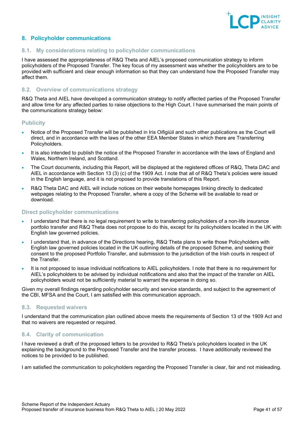

# <span id="page-40-0"></span>**8. Policyholder communications**

## <span id="page-40-1"></span>**8.1. My considerations relating to policyholder communications**

I have assessed the appropriateness of R&Q Theta and AIEL's proposed communication strategy to inform policyholders of the Proposed Transfer. The key focus of my assessment was whether the policyholders are to be provided with sufficient and clear enough information so that they can understand how the Proposed Transfer may affect them.

## <span id="page-40-2"></span>**8.2. Overview of communications strategy**

R&Q Theta and AIEL have developed a communication strategy to notify affected parties of the Proposed Transfer and allow time for any affected parties to raise objections to the High Court. I have summarised the main points of the communications strategy below:

## **Publicity**

- Notice of the Proposed Transfer will be published in Iris Oifigiúil and such other publications as the Court will direct, and in accordance with the laws of the other EEA Member States in which there are Transferring Policyholders.
- It is also intended to publish the notice of the Proposed Transfer in accordance with the laws of England and Wales, Northern Ireland, and Scotland.
- The Court documents, including this Report, will be displayed at the registered offices of R&Q, Theta DAC and AIEL in accordance with Section 13 (3) (c) of the 1909 Act. I note that all of R&Q Theta's policies were issued in the English language, and it is not proposed to provide translations of this Report.
- R&Q Theta DAC and AIEL will include notices on their website homepages linking directly to dedicated webpages relating to the Proposed Transfer, where a copy of the Scheme will be available to read or download.

# **Direct policyholder communications**

- I understand that there is no legal requirement to write to transferring policyholders of a non-life insurance portfolio transfer and R&Q Theta does not propose to do this, except for its policyholders located in the UK with English law governed policies.
- I understand that, in advance of the Directions hearing, R&Q Theta plans to write those Policyholders with English law governed policies located in the UK outlining details of the proposed Scheme, and seeking their consent to the proposed Portfolio Transfer, and submission to the jurisdiction of the Irish courts in respect of the Transfer.
- It is not proposed to issue individual notifications to AIEL policyholders. I note that there is no requirement for AIEL's policyholders to be advised by individual notifications and also that the impact of the transfer on AIEL policyholders would not be sufficiently material to warrant the expense in doing so.

Given my overall findings regarding policyholder security and service standards, and subject to the agreement of the CBI, MFSA and the Court, I am satisfied with this communication approach.

#### <span id="page-40-3"></span>**8.3. Requested waivers**

I understand that the communication plan outlined above meets the requirements of Section 13 of the 1909 Act and that no waivers are requested or required.

# <span id="page-40-4"></span>**8.4. Clarity of communication**

I have reviewed a draft of the proposed letters to be provided to R&Q Theta's policyholders located in the UK explaining the background to the Proposed Transfer and the transfer process. I have additionally reviewed the notices to be provided to be published.

I am satisfied the communication to policyholders regarding the Proposed Transfer is clear, fair and not misleading.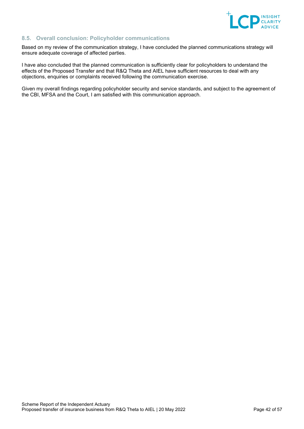

# <span id="page-41-0"></span>**8.5. Overall conclusion: Policyholder communications**

Based on my review of the communication strategy, I have concluded the planned communications strategy will ensure adequate coverage of affected parties.

I have also concluded that the planned communication is sufficiently clear for policyholders to understand the effects of the Proposed Transfer and that R&Q Theta and AIEL have sufficient resources to deal with any objections, enquiries or complaints received following the communication exercise.

Given my overall findings regarding policyholder security and service standards, and subject to the agreement of the CBI, MFSA and the Court, I am satisfied with this communication approach.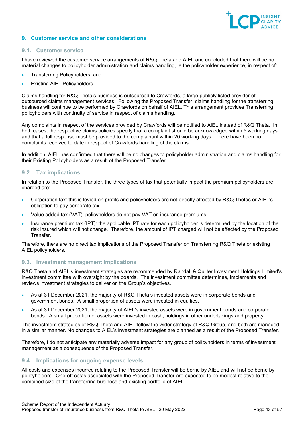

# <span id="page-42-0"></span>**9. Customer service and other considerations**

## <span id="page-42-1"></span>**9.1. Customer service**

I have reviewed the customer service arrangements of R&Q Theta and AIEL and concluded that there will be no material changes to policyholder administration and claims handling, ie the policyholder experience, in respect of:

- Transferring Policyholders; and
- **Existing AIEL Policyholders.**

Claims handling for R&Q Theta's business is outsourced to Crawfords, a large publicly listed provider of outsourced claims management services. Following the Proposed Transfer, claims handling for the transferring business will continue to be performed by Crawfords on behalf of AIEL. This arrangement provides Transferring policyholders with continuity of service in respect of claims handling.

Any complaints in respect of the services provided by Crawfords will be notified to AIEL instead of R&Q Theta. In both cases, the respective claims policies specify that a complaint should be acknowledged within 5 working days and that a full response must be provided to the complainant within 20 working days. There have been no complaints received to date in respect of Crawfords handling of the claims.

In addition, AIEL has confirmed that there will be no changes to policyholder administration and claims handling for their Existing Policyholders as a result of the Proposed Transfer.

## <span id="page-42-2"></span>**9.2. Tax implications**

In relation to the Proposed Transfer, the three types of tax that potentially impact the premium policyholders are charged are:

- Corporation tax: this is levied on profits and policyholders are not directly affected by R&Q Thetas or AIEL's obligation to pay corporate tax.
- Value added tax (VAT): policyholders do not pay VAT on insurance premiums.
- Insurance premium tax (IPT): the applicable IPT rate for each policyholder is determined by the location of the risk insured which will not change. Therefore, the amount of IPT charged will not be affected by the Proposed Transfer.

Therefore, there are no direct tax implications of the Proposed Transfer on Transferring R&Q Theta or existing AIEL policyholders.

## <span id="page-42-3"></span>**9.3. Investment management implications**

R&Q Theta and AIEL's investment strategies are recommended by Randall & Quilter Investment Holdings Limited's investment committee with oversight by the boards. The investment committee determines, implements and reviews investment strategies to deliver on the Group's objectives.

- As at 31 December 2021, the majority of R&Q Theta's invested assets were in corporate bonds and government bonds. A small proportion of assets were invested in equities.
- As at 31 December 2021, the majority of AIEL's invested assets were in government bonds and corporate bonds. A small proportion of assets were invested in cash, holdings in other undertakings and property.

The investment strategies of R&Q Theta and AIEL follow the wider strategy of R&Q Group, and both are managed in a similar manner. No changes to AIEL's investment strategies are planned as a result of the Proposed Transfer.

Therefore, I do not anticipate any materially adverse impact for any group of policyholders in terms of investment management as a consequence of the Proposed Transfer.

## <span id="page-42-4"></span>**9.4. Implications for ongoing expense levels**

All costs and expenses incurred relating to the Proposed Transfer will be borne by AIEL and will not be borne by policyholders. One-off costs associated with the Proposed Transfer are expected to be modest relative to the combined size of the transferring business and existing portfolio of AIEL.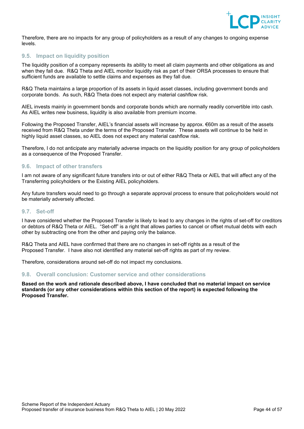

Therefore, there are no impacts for any group of policyholders as a result of any changes to ongoing expense levels.

# <span id="page-43-0"></span>**9.5. Impact on liquidity position**

The liquidity position of a company represents its ability to meet all claim payments and other obligations as and when they fall due. R&Q Theta and AIEL monitor liquidity risk as part of their ORSA processes to ensure that sufficient funds are available to settle claims and expenses as they fall due.

R&Q Theta maintains a large proportion of its assets in liquid asset classes, including government bonds and corporate bonds. As such, R&Q Theta does not expect any material cashflow risk.

AIEL invests mainly in government bonds and corporate bonds which are normally readily convertible into cash. As AIEL writes new business, liquidity is also available from premium income.

Following the Proposed Transfer, AIEL's financial assets will increase by approx. €60m as a result of the assets received from R&Q Theta under the terms of the Proposed Transfer. These assets will continue to be held in highly liquid asset classes, so AIEL does not expect any material cashflow risk.

Therefore, I do not anticipate any materially adverse impacts on the liquidity position for any group of policyholders as a consequence of the Proposed Transfer.

# <span id="page-43-1"></span>**9.6. Impact of other transfers**

I am not aware of any significant future transfers into or out of either R&Q Theta or AIEL that will affect any of the Transferring policyholders or the Existing AIEL policyholders.

Any future transfers would need to go through a separate approval process to ensure that policyholders would not be materially adversely affected.

## <span id="page-43-2"></span>**9.7. Set-off**

I have considered whether the Proposed Transfer is likely to lead to any changes in the rights of set-off for creditors or debtors of R&Q Theta or AIEL. "Set-off" is a right that allows parties to cancel or offset mutual debts with each other by subtracting one from the other and paying only the balance.

R&Q Theta and AIEL have confirmed that there are no changes in set-off rights as a result of the Proposed Transfer. I have also not identified any material set-off rights as part of my review.

Therefore, considerations around set-off do not impact my conclusions.

#### <span id="page-43-3"></span>**9.8. Overall conclusion: Customer service and other considerations**

**Based on the work and rationale described above, I have concluded that no material impact on service standards (or any other considerations within this section of the report) is expected following the Proposed Transfer.**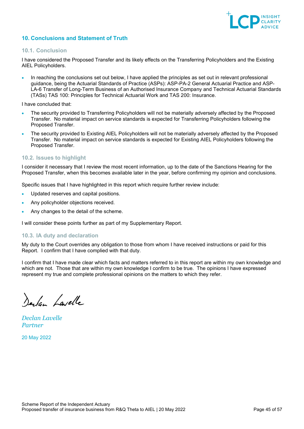

# <span id="page-44-0"></span>**10. Conclusions and Statement of Truth**

## <span id="page-44-1"></span>**10.1. Conclusion**

I have considered the Proposed Transfer and its likely effects on the Transferring Policyholders and the Existing AIEL Policyholders.

• In reaching the conclusions set out below, I have applied the principles as set out in relevant professional guidance, being the Actuarial Standards of Practice (ASPs): ASP-PA-2 General Actuarial Practice and ASP-LA-6 Transfer of Long-Term Business of an Authorised Insurance Company and Technical Actuarial Standards (TASs) TAS 100: Principles for Technical Actuarial Work and TAS 200: Insurance.

I have concluded that:

- The security provided to Transferring Policyholders will not be materially adversely affected by the Proposed Transfer. No material impact on service standards is expected for Transferring Policyholders following the Proposed Transfer.
- The security provided to Existing AIEL Policyholders will not be materially adversely affected by the Proposed Transfer. No material impact on service standards is expected for Existing AIEL Policyholders following the Proposed Transfer.

# <span id="page-44-2"></span>**10.2. Issues to highlight**

I consider it necessary that I review the most recent information, up to the date of the Sanctions Hearing for the Proposed Transfer, when this becomes available later in the year, before confirming my opinion and conclusions.

Specific issues that I have highlighted in this report which require further review include:

- Updated reserves and capital positions.
- Any policyholder objections received.
- Any changes to the detail of the scheme.

I will consider these points further as part of my Supplementary Report.

#### <span id="page-44-3"></span>**10.3. IA duty and declaration**

My duty to the Court overrides any obligation to those from whom I have received instructions or paid for this Report. I confirm that I have complied with that duty.

I confirm that I have made clear which facts and matters referred to in this report are within my own knowledge and which are not. Those that are within my own knowledge I confirm to be true. The opinions I have expressed represent my true and complete professional opinions on the matters to which they refer.

Derlan Lavelle

*Declan Lavelle Partner*

20 May 2022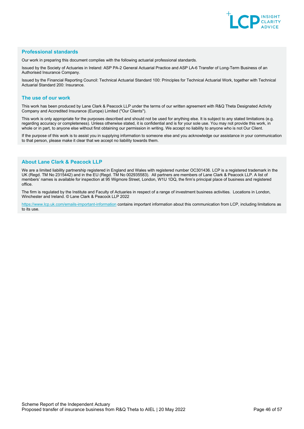

#### **Professional standards**

Our work in preparing this document complies with the following actuarial professional standards.

Issued by the Society of Actuaries in Ireland: ASP PA-2 General Actuarial Practice and ASP LA-6 Transfer of Long-Term Business of an Authorised Insurance Company.

Issued by the Financial Reporting Council: Technical Actuarial Standard 100: Principles for Technical Actuarial Work, together with Technical Actuarial Standard 200: Insurance.

#### **The use of our work**

This work has been produced by Lane Clark & Peacock LLP under the terms of our written agreement with R&Q Theta Designated Activity Company and Accredited Insurance (Europe) Limited ("Our Clients").

This work is only appropriate for the purposes described and should not be used for anything else. It is subject to any stated limitations (e.g. regarding accuracy or completeness). Unless otherwise stated, it is confidential and is for your sole use. You may not provide this work, in whole or in part, to anyone else without first obtaining our permission in writing. We accept no liability to anyone who is not Our Client.

If the purpose of this work is to assist you in supplying information to someone else and you acknowledge our assistance in your communication to that person, please make it clear that we accept no liability towards them.

#### **About Lane Clark & Peacock LLP**

We are a limited liability partnership registered in England and Wales with registered number OC301436. LCP is a registered trademark in the UK (Regd. TM No 2315442) and in the EU (Regd. TM No 002935583). All partners are members of Lane Clark & Peacock LLP. A list of members' names is available for inspection at 95 Wigmore Street, London, W1U 1DQ, the firm's principal place of business and registered office.

The firm is regulated by the Institute and Faculty of Actuaries in respect of a range of investment business activities. Locations in London, Winchester and Ireland. © Lane Clark & Peacock LLP 2022

[https://www.lcp.uk.com/emails-important-information](https://www.lcp.uk.com/emails-important-information/) contains important information about this communication from LCP, including limitations as to its use.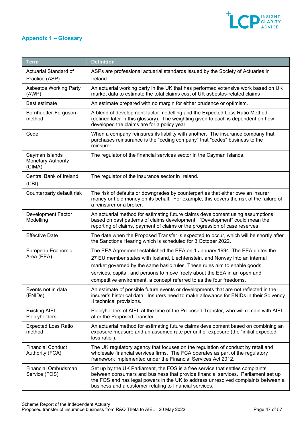

# <span id="page-46-0"></span>**Appendix 1 – Glossary**

| <b>Term</b>                                    | <b>Definition</b>                                                                                                                                                                                                                                                                                                   |
|------------------------------------------------|---------------------------------------------------------------------------------------------------------------------------------------------------------------------------------------------------------------------------------------------------------------------------------------------------------------------|
| Actuarial Standard of<br>Practice (ASP)        | ASPs are professional actuarial standards issued by the Society of Actuaries in<br>Ireland.                                                                                                                                                                                                                         |
| <b>Asbestos Working Party</b><br>(AWP)         | An actuarial working party in the UK that has performed extensive work based on UK<br>market data to estimate the total claims cost of UK asbestos-related claims                                                                                                                                                   |
| Best estimate                                  | An estimate prepared with no margin for either prudence or optimism.                                                                                                                                                                                                                                                |
| Bornhuetter-Ferguson<br>method                 | A blend of development factor modelling and the Expected Loss Ratio Method<br>(defined later in this glossary). The weighting given to each is dependent on how<br>developed the claims are for a policy year.                                                                                                      |
| Cede                                           | When a company reinsures its liability with another. The insurance company that<br>purchases reinsurance is the "ceding company" that "cedes" business to the<br>reinsurer.                                                                                                                                         |
| Cayman Islands<br>Monetary Authority<br>(CIMA) | The regulator of the financial services sector in the Cayman Islands.                                                                                                                                                                                                                                               |
| Central Bank of Ireland<br>(CBI)               | The regulator of the insurance sector in Ireland.                                                                                                                                                                                                                                                                   |
| Counterparty default risk                      | The risk of defaults or downgrades by counterparties that either owe an insurer<br>money or hold money on its behalf. For example, this covers the risk of the failure of<br>a reinsurer or a broker.                                                                                                               |
| <b>Development Factor</b><br>Modelling         | An actuarial method for estimating future claims development using assumptions<br>based on past patterns of claims development. "Development" could mean the<br>reporting of claims, payment of claims or the progression of case reserves.                                                                         |
| <b>Effective Date</b>                          | The date when the Proposed Transfer is expected to occur, which will be shortly after<br>the Sanctions Hearing which is scheduled for 3 October 2022.                                                                                                                                                               |
| European Economic<br>Area (EEA)                | The EEA Agreement established the EEA on 1 January 1994. The EEA unites the<br>27 EU member states with Iceland, Liechtenstein, and Norway into an internal                                                                                                                                                         |
|                                                | market governed by the same basic rules. These rules aim to enable goods,                                                                                                                                                                                                                                           |
|                                                | services, capital, and persons to move freely about the EEA in an open and                                                                                                                                                                                                                                          |
|                                                | competitive environment, a concept referred to as the four freedoms.                                                                                                                                                                                                                                                |
| Events not in data<br>(ENIDs)                  | An estimate of possible future events or developments that are not reflected in the<br>insurer's historical data. Insurers need to make allowance for ENIDs in their Solvency<br>Il technical provisions.                                                                                                           |
| <b>Existing AIEL</b><br>Policyholders          | Policyholders of AIEL at the time of the Proposed Transfer, who will remain with AIEL<br>after the Proposed Transfer.                                                                                                                                                                                               |
| <b>Expected Loss Ratio</b><br>method           | An actuarial method for estimating future claims development based on combining an<br>exposure measure and an assumed rate per unit of exposure (the "initial expected<br>loss ratio").                                                                                                                             |
| <b>Financial Conduct</b><br>Authority (FCA)    | The UK regulatory agency that focuses on the regulation of conduct by retail and<br>wholesale financial services firms. The FCA operates as part of the regulatory<br>framework implemented under the Financial Services Act 2012.                                                                                  |
| Financial Ombudsman<br>Service (FOS)           | Set up by the UK Parliament, the FOS is a free service that settles complaints<br>between consumers and business that provide financial services. Parliament set up<br>the FOS and has legal powers in the UK to address unresolved complaints between a<br>business and a customer relating to financial services. |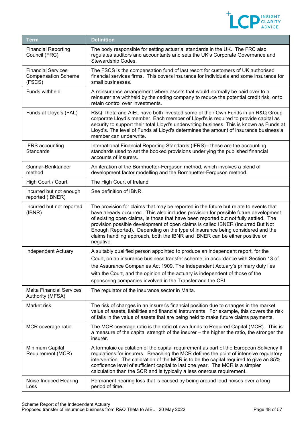

| <b>Term</b>                                                       | <b>Definition</b>                                                                                                                                                                                                                                                                                                                                                                                                                                                                                                                    |
|-------------------------------------------------------------------|--------------------------------------------------------------------------------------------------------------------------------------------------------------------------------------------------------------------------------------------------------------------------------------------------------------------------------------------------------------------------------------------------------------------------------------------------------------------------------------------------------------------------------------|
| <b>Financial Reporting</b><br>Council (FRC)                       | The body responsible for setting actuarial standards in the UK. The FRC also<br>regulates auditors and accountants and sets the UK's Corporate Governance and<br>Stewardship Codes.                                                                                                                                                                                                                                                                                                                                                  |
| <b>Financial Services</b><br><b>Compensation Scheme</b><br>(FSCS) | The FSCS is the compensation fund of last resort for customers of UK authorised<br>financial services firms. This covers insurance for individuals and some insurance for<br>small businesses.                                                                                                                                                                                                                                                                                                                                       |
| Funds withheld                                                    | A reinsurance arrangement where assets that would normally be paid over to a<br>reinsurer are withheld by the ceding company to reduce the potential credit risk, or to<br>retain control over investments.                                                                                                                                                                                                                                                                                                                          |
| Funds at Lloyd's (FAL)                                            | R&Q Theta and AIEL have both invested some of their Own Funds in an R&Q Group<br>corporate Lloyd's member. Each member of Lloyd's is required to provide capital as<br>security to support their total Lloyd's underwriting business. This is known as Funds at<br>Lloyd's. The level of Funds at Lloyd's determines the amount of insurance business a<br>member can underwrite.                                                                                                                                                    |
| <b>IFRS</b> accounting<br><b>Standards</b>                        | International Financial Reporting Standards (IFRS) - these are the accounting<br>standards used to set the booked provisions underlying the published financial<br>accounts of insurers.                                                                                                                                                                                                                                                                                                                                             |
| Gunnar-Benktander<br>method                                       | An iteration of the Bornhuetter-Ferguson method, which involves a blend of<br>development factor modelling and the Bornhuetter-Ferguson method.                                                                                                                                                                                                                                                                                                                                                                                      |
| High Court / Court                                                | The High Court of Ireland                                                                                                                                                                                                                                                                                                                                                                                                                                                                                                            |
| Incurred but not enough<br>reported (IBNER)                       | See definition of IBNR.                                                                                                                                                                                                                                                                                                                                                                                                                                                                                                              |
| Incurred but not reported<br>(IBNR)                               | The provision for claims that may be reported in the future but relate to events that<br>have already occurred. This also includes provision for possible future development<br>of existing open claims, ie those that have been reported but not fully settled. The<br>provision possible development of open claims is called IBNER (Incurred But Not<br>Enough Reported). Depending on the type of insurance being considered and the<br>claims handling approach, both the IBNR and IBNER can be either positive or<br>negative. |
| Independent Actuary                                               | A suitably qualified person appointed to produce an independent report, for the<br>Court, on an insurance business transfer scheme, in accordance with Section 13 of<br>the Assurance Companies Act 1909. The Independent Actuary's primary duty lies<br>with the Court, and the opinion of the actuary is independent of those of the<br>sponsoring companies involved in the Transfer and the CBI.                                                                                                                                 |
| <b>Malta Financial Services</b><br>Authority (MFSA)               | The regulator of the insurance sector in Malta.                                                                                                                                                                                                                                                                                                                                                                                                                                                                                      |
| Market risk                                                       | The risk of changes in an insurer's financial position due to changes in the market<br>value of assets, liabilities and financial instruments. For example, this covers the risk<br>of falls in the value of assets that are being held to make future claims payments.                                                                                                                                                                                                                                                              |
| MCR coverage ratio                                                | The MCR coverage ratio is the ratio of own funds to Required Capital (MCR). This is<br>a measure of the capital strength of the insurer - the higher the ratio, the stronger the<br>insurer.                                                                                                                                                                                                                                                                                                                                         |
| Minimum Capital<br>Requirement (MCR)                              | A formulaic calculation of the capital requirement as part of the European Solvency II<br>regulations for insurers. Breaching the MCR defines the point of intensive regulatory<br>intervention. The calibration of the MCR is to be the capital required to give an 85%<br>confidence level of sufficient capital to last one year. The MCR is a simpler<br>calculation than the SCR and is typically a less onerous requirement.                                                                                                   |
| Noise Induced Hearing<br>Loss                                     | Permanent hearing loss that is caused by being around loud noises over a long<br>period of time.                                                                                                                                                                                                                                                                                                                                                                                                                                     |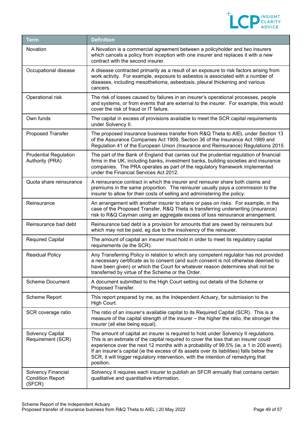

| Term                                                    | <b>Definition</b>                                                                                                                                                                                                                                                                                                                                                                                                                                                     |
|---------------------------------------------------------|-----------------------------------------------------------------------------------------------------------------------------------------------------------------------------------------------------------------------------------------------------------------------------------------------------------------------------------------------------------------------------------------------------------------------------------------------------------------------|
| Novation                                                | A Novation is a commercial agreement between a policyholder and two insurers<br>which cancels a policy from inception with one insurer and replaces it with a new<br>contract with the second insurer.                                                                                                                                                                                                                                                                |
| Occupational disease                                    | A disease contracted primarily as a result of an exposure to risk factors arising from<br>work activity. For example, exposure to asbestos is associated with a number of<br>diseases, including mesothelioma, asbestosis, pleural thickening and various<br>cancers.                                                                                                                                                                                                 |
| Operational risk                                        | The risk of losses caused by failures in an insurer's operational processes, people<br>and systems, or from events that are external to the insurer. For example, this would<br>cover the risk of fraud or IT failure.                                                                                                                                                                                                                                                |
| Own funds                                               | The capital in excess of provisions available to meet the SCR capital requirements<br>under Solvency II.                                                                                                                                                                                                                                                                                                                                                              |
| Proposed Transfer                                       | The proposed insurance business transfer from R&Q Theta to AIEL under Section 13<br>of the Assurance Companies Act 1909, Section 36 of the Insurance Act 1989 and<br>Regulation 41 of the European Union (Insurance and Reinsurance) Regulations 2015                                                                                                                                                                                                                 |
| <b>Prudential Regulation</b><br>Authority (PRA)         | The part of the Bank of England that carries out the prudential regulation of financial<br>firms in the UK, including banks, investment banks, building societies and insurance<br>companies. The PRA operates as part of the regulatory framework implemented<br>under the Financial Services Act 2012.                                                                                                                                                              |
| Quota share reinsurance                                 | A reinsurance contract in which the insurer and reinsurer share both claims and<br>premiums in the same proportion. The reinsurer usually pays a commission to the<br>insurer to allow for their costs of selling and administering the policy.                                                                                                                                                                                                                       |
| Reinsurance                                             | An arrangement with another insurer to share or pass on risks. For example, in the<br>case of the Proposed Transfer, R&Q Theta is transferring underwriting (insurance)<br>risk to R&Q Cayman using an aggregate excess of loss reinsurance arrangement.                                                                                                                                                                                                              |
| Reinsurance bad debt                                    | Reinsurance bad debt is a provision for amounts that are owed by reinsurers but<br>which may not be paid, eg due to the insolvency of the reinsurer.                                                                                                                                                                                                                                                                                                                  |
| <b>Required Capital</b>                                 | The amount of capital an insurer must hold in order to meet its regulatory capital<br>requirements (ie the SCR).                                                                                                                                                                                                                                                                                                                                                      |
| <b>Residual Policy</b>                                  | Any Transferring Policy in relation to which any competent regulator has not provided<br>a necessary certificate as to consent (and such consent is not otherwise deemed to<br>have been given) or which the Court for whatever reason determines shall not be<br>transferred by virtue of the Scheme or the Order.                                                                                                                                                   |
| <b>Scheme Document</b>                                  | A document submitted to the High Court setting out details of the Scheme or<br>Proposed Transfer.                                                                                                                                                                                                                                                                                                                                                                     |
| Scheme Report                                           | This report prepared by me, as the Independent Actuary, for submission to the<br>High Court.                                                                                                                                                                                                                                                                                                                                                                          |
| SCR coverage ratio                                      | The ratio of an insurer's available capital to its Required Capital (SCR). This is a<br>measure of the capital strength of the insurer - the higher the ratio, the stronger the<br>insurer (all else being equal).                                                                                                                                                                                                                                                    |
| Solvency Capital<br>Requirement (SCR)                   | The amount of capital an insurer is required to hold under Solvency II regulations.<br>This is an estimate of the capital required to cover the loss that an insurer could<br>experience over the next 12 months with a probability of 99.5% (ie, a 1 in 200 event).<br>If an insurer's capital (ie the excess of its assets over its liabilities) falls below the<br>SCR, it will trigger regulatory intervention, with the intention of remedying that<br>position. |
| Solvency Financial<br><b>Condition Report</b><br>(SFCR) | Solvency II requires each insurer to publish an SFCR annually that contains certain<br>qualitative and quantitative information.                                                                                                                                                                                                                                                                                                                                      |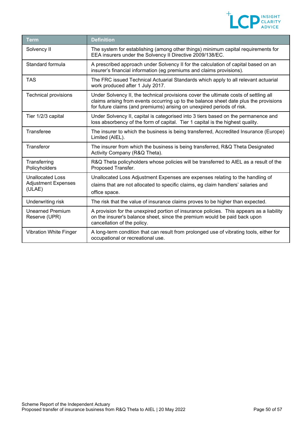

| Term                                                            | <b>Definition</b>                                                                                                                                                                                                                                       |
|-----------------------------------------------------------------|---------------------------------------------------------------------------------------------------------------------------------------------------------------------------------------------------------------------------------------------------------|
| Solvency II                                                     | The system for establishing (among other things) minimum capital requirements for<br>EEA insurers under the Solvency II Directive 2009/138/EC.                                                                                                          |
| Standard formula                                                | A prescribed approach under Solvency II for the calculation of capital based on an<br>insurer's financial information (eg premiums and claims provisions).                                                                                              |
| <b>TAS</b>                                                      | The FRC issued Technical Actuarial Standards which apply to all relevant actuarial<br>work produced after 1 July 2017.                                                                                                                                  |
| Technical provisions                                            | Under Solvency II, the technical provisions cover the ultimate costs of settling all<br>claims arising from events occurring up to the balance sheet date plus the provisions<br>for future claims (and premiums) arising on unexpired periods of risk. |
| Tier 1/2/3 capital                                              | Under Solvency II, capital is categorised into 3 tiers based on the permanence and<br>loss absorbency of the form of capital. Tier 1 capital is the highest quality.                                                                                    |
| Transferee                                                      | The insurer to which the business is being transferred, Accredited Insurance (Europe)<br>Limited (AIEL).                                                                                                                                                |
| Transferor                                                      | The insurer from which the business is being transferred, R&Q Theta Designated<br>Activity Company (R&Q Theta).                                                                                                                                         |
| Transferring<br>Policyholders                                   | R&Q Theta policyholders whose policies will be transferred to AIEL as a result of the<br>Proposed Transfer.                                                                                                                                             |
| <b>Unallocated Loss</b><br><b>Adjustment Expenses</b><br>(ULAE) | Unallocated Loss Adjustment Expenses are expenses relating to the handling of<br>claims that are not allocated to specific claims, eg claim handlers' salaries and<br>office space.                                                                     |
| Underwriting risk                                               | The risk that the value of insurance claims proves to be higher than expected.                                                                                                                                                                          |
| <b>Unearned Premium</b><br>Reserve (UPR)                        | A provision for the unexpired portion of insurance policies. This appears as a liability<br>on the insurer's balance sheet, since the premium would be paid back upon<br>cancellation of the policy.                                                    |
| Vibration White Finger                                          | A long-term condition that can result from prolonged use of vibrating tools, either for<br>occupational or recreational use.                                                                                                                            |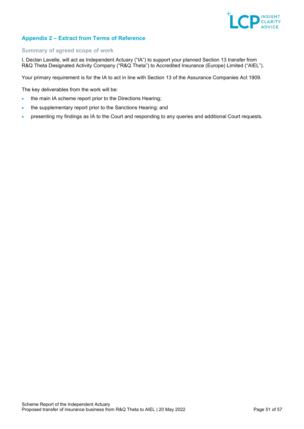

# <span id="page-50-0"></span>**Appendix 2 – Extract from Terms of Reference**

## **Summary of agreed scope of work**

I, Declan Lavelle, will act as Independent Actuary ("IA") to support your planned Section 13 transfer from R&Q Theta Designated Activity Company ("R&Q Theta") to Accredited Insurance (Europe) Limited ("AIEL").

Your primary requirement is for the IA to act in line with Section 13 of the Assurance Companies Act 1909.

The key deliverables from the work will be:

- the main IA scheme report prior to the Directions Hearing;
- the supplementary report prior to the Sanctions Hearing; and
- presenting my findings as IA to the Court and responding to any queries and additional Court requests.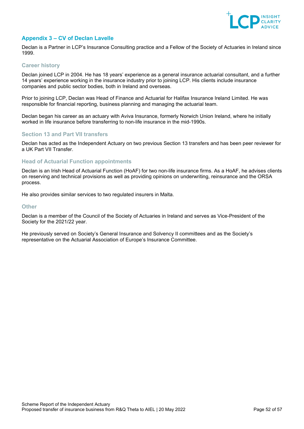

# <span id="page-51-0"></span>**Appendix 3 – CV of Declan Lavelle**

Declan is a Partner in LCP's Insurance Consulting practice and a Fellow of the Society of Actuaries in Ireland since 1999.

## **Career history**

Declan joined LCP in 2004. He has 18 years' experience as a general insurance actuarial consultant, and a further 14 years' experience working in the insurance industry prior to joining LCP. His clients include insurance companies and public sector bodies, both in Ireland and overseas.

Prior to joining LCP, Declan was Head of Finance and Actuarial for Halifax Insurance Ireland Limited. He was responsible for financial reporting, business planning and managing the actuarial team.

Declan began his career as an actuary with Aviva Insurance, formerly Norwich Union Ireland, where he initially worked in life insurance before transferring to non-life insurance in the mid-1990s.

## **Section 13 and Part VII transfers**

Declan has acted as the Independent Actuary on two previous Section 13 transfers and has been peer reviewer for a UK Part VII Transfer.

#### **Head of Actuarial Function appointments**

Declan is an Irish Head of Actuarial Function (HoAF) for two non-life insurance firms. As a HoAF, he advises clients on reserving and technical provisions as well as providing opinions on underwriting, reinsurance and the ORSA process.

He also provides similar services to two regulated insurers in Malta.

#### **Other**

Declan is a member of the Council of the Society of Actuaries in Ireland and serves as Vice-President of the Society for the 2021/22 year.

He previously served on Society's General Insurance and Solvency II committees and as the Society's representative on the Actuarial Association of Europe's Insurance Committee.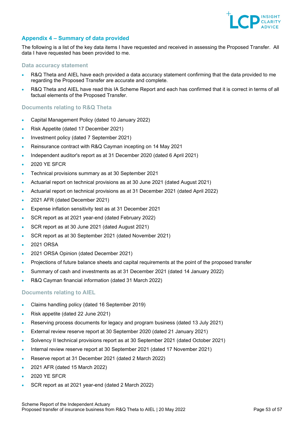

# <span id="page-52-0"></span>**Appendix 4 – Summary of data provided**

The following is a list of the key data items I have requested and received in assessing the Proposed Transfer. All data I have requested has been provided to me.

#### **Data accuracy statement**

- R&Q Theta and AIEL have each provided a data accuracy statement confirming that the data provided to me regarding the Proposed Transfer are accurate and complete.
- R&Q Theta and AIEL have read this IA Scheme Report and each has confirmed that it is correct in terms of all factual elements of the Proposed Transfer.

## **Documents relating to R&Q Theta**

- Capital Management Policy (dated 10 January 2022)
- Risk Appetite (dated 17 December 2021)
- Investment policy (dated 7 September 2021)
- Reinsurance contract with R&Q Cayman incepting on 14 May 2021
- Independent auditor's report as at 31 December 2020 (dated 6 April 2021)
- 2020 YE SFCR
- Technical provisions summary as at 30 September 2021
- Actuarial report on technical provisions as at 30 June 2021 (dated August 2021)
- Actuarial report on technical provisions as at 31 December 2021 (dated April 2022)
- 2021 AFR (dated December 2021)
- Expense inflation sensitivity test as at 31 December 2021
- SCR report as at 2021 year-end (dated February 2022)
- SCR report as at 30 June 2021 (dated August 2021)
- SCR report as at 30 September 2021 (dated November 2021)
- 2021 ORSA
- 2021 ORSA Opinion (dated December 2021)
- Projections of future balance sheets and capital requirements at the point of the proposed transfer
- Summary of cash and investments as at 31 December 2021 (dated 14 January 2022)
- R&Q Cayman financial information (dated 31 March 2022)

# **Documents relating to AIEL**

- Claims handling policy (dated 16 September 2019)
- Risk appetite (dated 22 June 2021)
- Reserving process documents for legacy and program business (dated 13 July 2021)
- External review reserve report at 30 September 2020 (dated 21 January 2021)
- Solvency II technical provisions report as at 30 September 2021 (dated October 2021)
- Internal review reserve report at 30 September 2021 (dated 17 November 2021)
- Reserve report at 31 December 2021 (dated 2 March 2022)
- 2021 AFR (dated 15 March 2022)
- 2020 YE SFCR
- SCR report as at 2021 year-end (dated 2 March 2022)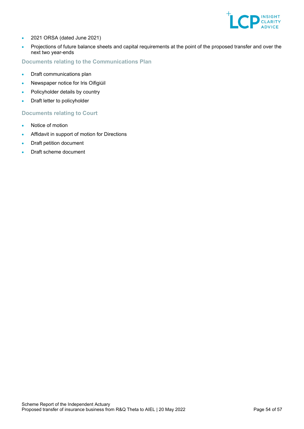

- 2021 ORSA (dated June 2021)
- Projections of future balance sheets and capital requirements at the point of the proposed transfer and over the next two year-ends

# **Documents relating to the Communications Plan**

- Draft communications plan
- Newspaper notice for Iris Oifigiúil
- Policyholder details by country
- Draft letter to policyholder

# **Documents relating to Court**

- Notice of motion
- Affidavit in support of motion for Directions
- Draft petition document
- Draft scheme document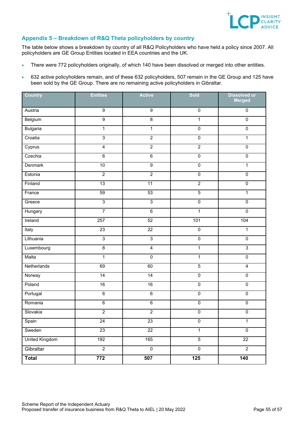

# <span id="page-54-0"></span>**Appendix 5 – Breakdown of R&Q Theta policyholders by country**

The table below shows a breakdown by country of all R&Q Policyholders who have held a policy since 2007. All policyholders are GE Group Entities located in EEA countries and the UK.

- There were 772 policyholders originally, of which 140 have been dissolved or merged into other entities.
- 632 active policyholders remain, and of these 632 policyholders, 507 remain in the GE Group and 125 have been sold by the GE Group. There are no remaining active policyholders in Gibraltar.

| <b>Country</b>        | <b>Entities</b> | <b>Active</b>   | Sold             | <b>Dissolved or</b><br><b>Merged</b> |
|-----------------------|-----------------|-----------------|------------------|--------------------------------------|
| Austria               | $\overline{9}$  | $\overline{9}$  | $\overline{0}$   | $\overline{0}$                       |
| Belgium               | $\overline{9}$  | $\infty$        | $\mathbf{1}$     | $\overline{0}$                       |
| <b>Bulgaria</b>       | $\overline{1}$  | $\overline{1}$  | $\overline{0}$   | $\overline{0}$                       |
| Croatia               | $\overline{3}$  | $\overline{2}$  | $\overline{0}$   | $\overline{1}$                       |
| Cyprus                | $\overline{4}$  | $\overline{2}$  | $\overline{2}$   | $\overline{0}$                       |
| Czechia               | $6\overline{6}$ | $\overline{6}$  | $\overline{0}$   | $\overline{0}$                       |
| <b>Denmark</b>        | 10              | $\overline{9}$  | $\overline{0}$   | $\overline{1}$                       |
| Estonia               | $\overline{2}$  | $\overline{2}$  | $\overline{0}$   | $\overline{0}$                       |
| Finland               | 13              | 11              | $\overline{2}$   | $\overline{0}$                       |
| France                | 59              | 53              | $\overline{5}$   | $\overline{1}$                       |
| Greece                | $\overline{3}$  | $\overline{3}$  | $\overline{0}$   | $\overline{0}$                       |
| Hungary               | $\overline{7}$  | $\overline{6}$  | $\overline{1}$   | $\overline{0}$                       |
| Ireland               | 257             | 52              | 101              | 104                                  |
| Italy                 | 23              | $\overline{22}$ | $\overline{0}$   | $\overline{1}$                       |
| Lithuania             | $\overline{3}$  | $\overline{3}$  | $\overline{0}$   | $\overline{0}$                       |
| Luxembourg            | $\overline{8}$  | $\overline{4}$  | $\overline{1}$   | $\overline{3}$                       |
| Malta                 | $\overline{1}$  | $\overline{0}$  | $\overline{1}$   | $\overline{0}$                       |
| Netherlands           | 69              | 60              | $\overline{5}$   | $\overline{4}$                       |
| Norway                | 14              | 14              | $\overline{0}$   | $\overline{0}$                       |
| Poland                | 16              | 16              | $\overline{0}$   | $\overline{0}$                       |
| Portugal              | $\overline{6}$  | $6\overline{6}$ | $\overline{0}$   | $\overline{0}$                       |
| Romania               | $\overline{6}$  | $\overline{6}$  | $\overline{0}$   | $\overline{0}$                       |
| Slovakia              | $\overline{2}$  | $\overline{2}$  | $\overline{0}$   | $\overline{0}$                       |
| Spain                 | 24              | 23              | 0                | 1                                    |
| Sweden                | 23              | 22              | $\overline{1}$   | $\overline{0}$                       |
| <b>United Kingdom</b> | 192             | 165             | $\overline{5}$   | $\overline{22}$                      |
| Gibraltar             | $\overline{2}$  | $\overline{0}$  | $\overline{0}$   | $\overline{2}$                       |
| <b>Total</b>          | 772             | 507             | $\overline{125}$ | $\frac{1}{140}$                      |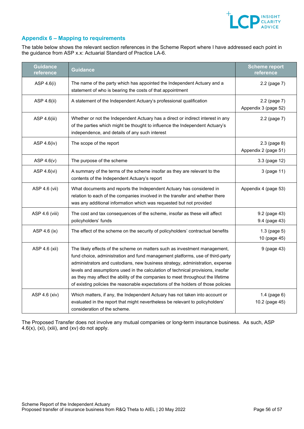

# <span id="page-55-0"></span>**Appendix 6 – Mapping to requirements**

The table below shows the relevant section references in the Scheme Report where I have addressed each point in the guidance from ASP x.x: Actuarial Standard of Practice LA-6.

| <b>Guidance</b><br>reference | <b>Guidance</b>                                                                                                                                                                                                                                                                                                                                                                                                                                                                                         | <b>Scheme report</b><br>reference    |
|------------------------------|---------------------------------------------------------------------------------------------------------------------------------------------------------------------------------------------------------------------------------------------------------------------------------------------------------------------------------------------------------------------------------------------------------------------------------------------------------------------------------------------------------|--------------------------------------|
| ASP 4.6(i)                   | The name of the party which has appointed the Independent Actuary and a<br>statement of who is bearing the costs of that appointment                                                                                                                                                                                                                                                                                                                                                                    | 2.2 (page 7)                         |
| ASP 4.6(ii)                  | A statement of the Independent Actuary's professional qualification                                                                                                                                                                                                                                                                                                                                                                                                                                     | 2.2 (page 7)<br>Appendix 3 (page 52) |
| ASP 4.6(iii)                 | Whether or not the Independent Actuary has a direct or indirect interest in any<br>of the parties which might be thought to influence the Independent Actuary's<br>independence, and details of any such interest                                                                                                                                                                                                                                                                                       | 2.2 (page 7)                         |
| ASP 4.6(iv)                  | The scope of the report                                                                                                                                                                                                                                                                                                                                                                                                                                                                                 | 2.3 (page 8)<br>Appendix 2 (page 51) |
| ASP $4.6(v)$                 | The purpose of the scheme                                                                                                                                                                                                                                                                                                                                                                                                                                                                               | 3.3 (page 12)                        |
| ASP 4.6(vi)                  | A summary of the terms of the scheme insofar as they are relevant to the<br>contents of the Independent Actuary's report                                                                                                                                                                                                                                                                                                                                                                                | 3 (page 11)                          |
| ASP 4.6 (vii)                | What documents and reports the Independent Actuary has considered in<br>relation to each of the companies involved in the transfer and whether there<br>was any additional information which was requested but not provided                                                                                                                                                                                                                                                                             | Appendix 4 (page 53)                 |
| ASP 4.6 (viii)               | The cost and tax consequences of the scheme, insofar as these will affect<br>policyholders' funds                                                                                                                                                                                                                                                                                                                                                                                                       | 9.2 (page 43)<br>9.4 (page 43)       |
| ASP 4.6 (ix)                 | The effect of the scheme on the security of policyholders' contractual benefits                                                                                                                                                                                                                                                                                                                                                                                                                         | 1.3 (page 5)<br>10 (page 45)         |
| ASP 4.6 (xii)                | The likely effects of the scheme on matters such as investment management,<br>fund choice, administration and fund management platforms, use of third-party<br>administrators and custodians, new business strategy, administration, expense<br>levels and assumptions used in the calculation of technical provisions, insofar<br>as they may affect the ability of the companies to meet throughout the lifetime<br>of existing policies the reasonable expectations of the holders of those policies | 9 (page 43)                          |
| ASP 4.6 (xiv)                | Which matters, if any, the Independent Actuary has not taken into account or<br>evaluated in the report that might nevertheless be relevant to policyholders'<br>consideration of the scheme.                                                                                                                                                                                                                                                                                                           | 1.4 (page 6)<br>10.2 (page 45)       |

The Proposed Transfer does not involve any mutual companies or long-term insurance business. As such, ASP 4.6(x), (xi), (xiii), and (xv) do not apply.